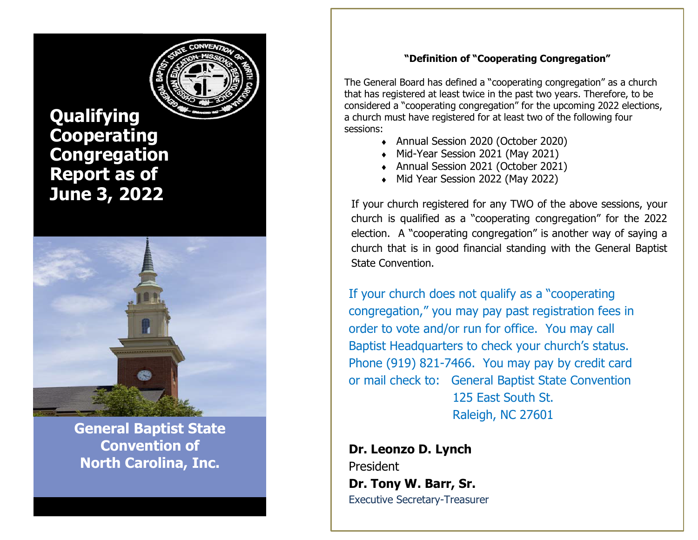

**Qualifying Cooperating Congregation Report as of June 3, 2022**



**General Baptist State Convention of North Carolina, Inc.**

# **"Definition of "Cooperating Congregation"**

The General Board has defined a "cooperating congregation" as a church that has registered at least twice in the past two years. Therefore, to be considered a "cooperating congregation" for the upcoming 2022 elections, a church must have registered for at least two of the following four sessions:

- ◆ Annual Session 2020 (October 2020)
- Mid-Year Session 2021 (May 2021)
- ◆ Annual Session 2021 (October 2021)
- Mid Year Session 2022 (May 2022)

If your church registered for any TWO of the above sessions, your church is qualified as a "cooperating congregation" for the 2022 election. A "cooperating congregation" is another way of saying a church that is in good financial standing with the General Baptist State Convention.

If your church does not qualify as a "cooperating congregation," you may pay past registration fees in order to vote and/or run for office. You may call Baptist Headquarters to check your church's status. Phone (919) 821-7466. You may pay by credit card or mail check to: General Baptist State Convention 125 East South St. Raleigh, NC 27601

**Dr. Leonzo D. Lynch** President **Dr. Tony W. Barr, Sr.** Executive Secretary-Treasurer

**(919) 821-7466**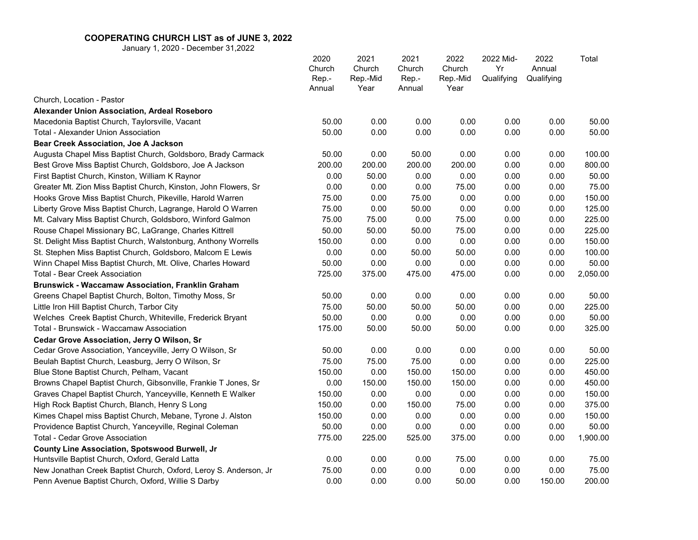|                                                                  | 2020<br>Church<br>Rep.-<br>Annual | 2021<br>Church<br>Rep.-Mid<br>Year | 2021<br>Church<br>Rep.-<br>Annual | 2022<br>Church<br>Rep.-Mid<br>Year | 2022 Mid-<br>Yr<br>Qualifying | 2022<br>Annual<br>Qualifying | Total    |
|------------------------------------------------------------------|-----------------------------------|------------------------------------|-----------------------------------|------------------------------------|-------------------------------|------------------------------|----------|
| Church, Location - Pastor                                        |                                   |                                    |                                   |                                    |                               |                              |          |
| Alexander Union Association, Ardeal Roseboro                     |                                   |                                    |                                   |                                    |                               |                              |          |
| Macedonia Baptist Church, Taylorsville, Vacant                   | 50.00                             | 0.00                               | 0.00                              | 0.00                               | 0.00                          | 0.00                         | 50.00    |
| <b>Total - Alexander Union Association</b>                       | 50.00                             | 0.00                               | 0.00                              | 0.00                               | 0.00                          | 0.00                         | 50.00    |
| <b>Bear Creek Association, Joe A Jackson</b>                     |                                   |                                    |                                   |                                    |                               |                              |          |
| Augusta Chapel Miss Baptist Church, Goldsboro, Brady Carmack     | 50.00                             | 0.00                               | 50.00                             | 0.00                               | 0.00                          | 0.00                         | 100.00   |
| Best Grove Miss Baptist Church, Goldsboro, Joe A Jackson         | 200.00                            | 200.00                             | 200.00                            | 200.00                             | 0.00                          | 0.00                         | 800.00   |
| First Baptist Church, Kinston, William K Raynor                  | 0.00                              | 50.00                              | 0.00                              | 0.00                               | 0.00                          | 0.00                         | 50.00    |
| Greater Mt. Zion Miss Baptist Church, Kinston, John Flowers, Sr  | 0.00                              | 0.00                               | 0.00                              | 75.00                              | 0.00                          | 0.00                         | 75.00    |
| Hooks Grove Miss Baptist Church, Pikeville, Harold Warren        | 75.00                             | 0.00                               | 75.00                             | 0.00                               | 0.00                          | 0.00                         | 150.00   |
| Liberty Grove Miss Baptist Church, Lagrange, Harold O Warren     | 75.00                             | 0.00                               | 50.00                             | 0.00                               | 0.00                          | 0.00                         | 125.00   |
| Mt. Calvary Miss Baptist Church, Goldsboro, Winford Galmon       | 75.00                             | 75.00                              | 0.00                              | 75.00                              | 0.00                          | 0.00                         | 225.00   |
| Rouse Chapel Missionary BC, LaGrange, Charles Kittrell           | 50.00                             | 50.00                              | 50.00                             | 75.00                              | 0.00                          | 0.00                         | 225.00   |
| St. Delight Miss Baptist Church, Walstonburg, Anthony Worrells   | 150.00                            | 0.00                               | 0.00                              | 0.00                               | 0.00                          | 0.00                         | 150.00   |
| St. Stephen Miss Baptist Church, Goldsboro, Malcom E Lewis       | 0.00                              | 0.00                               | 50.00                             | 50.00                              | 0.00                          | 0.00                         | 100.00   |
| Winn Chapel Miss Baptist Church, Mt. Olive, Charles Howard       | 50.00                             | 0.00                               | 0.00                              | 0.00                               | 0.00                          | 0.00                         | 50.00    |
| <b>Total - Bear Creek Association</b>                            | 725.00                            | 375.00                             | 475.00                            | 475.00                             | 0.00                          | 0.00                         | 2,050.00 |
| Brunswick - Waccamaw Association, Franklin Graham                |                                   |                                    |                                   |                                    |                               |                              |          |
| Greens Chapel Baptist Church, Bolton, Timothy Moss, Sr           | 50.00                             | 0.00                               | 0.00                              | 0.00                               | 0.00                          | 0.00                         | 50.00    |
| Little Iron Hill Baptist Church, Tarbor City                     | 75.00                             | 50.00                              | 50.00                             | 50.00                              | 0.00                          | 0.00                         | 225.00   |
| Welches Creek Baptist Church, Whiteville, Frederick Bryant       | 50.00                             | 0.00                               | 0.00                              | 0.00                               | 0.00                          | 0.00                         | 50.00    |
| Total - Brunswick - Waccamaw Association                         | 175.00                            | 50.00                              | 50.00                             | 50.00                              | 0.00                          | 0.00                         | 325.00   |
| Cedar Grove Association, Jerry O Wilson, Sr                      |                                   |                                    |                                   |                                    |                               |                              |          |
| Cedar Grove Association, Yanceyville, Jerry O Wilson, Sr         | 50.00                             | 0.00                               | 0.00                              | 0.00                               | 0.00                          | 0.00                         | 50.00    |
| Beulah Baptist Church, Leasburg, Jerry O Wilson, Sr              | 75.00                             | 75.00                              | 75.00                             | 0.00                               | 0.00                          | 0.00                         | 225.00   |
| Blue Stone Baptist Church, Pelham, Vacant                        | 150.00                            | 0.00                               | 150.00                            | 150.00                             | 0.00                          | 0.00                         | 450.00   |
| Browns Chapel Baptist Church, Gibsonville, Frankie T Jones, Sr   | 0.00                              | 150.00                             | 150.00                            | 150.00                             | 0.00                          | 0.00                         | 450.00   |
| Graves Chapel Baptist Church, Yanceyville, Kenneth E Walker      | 150.00                            | 0.00                               | 0.00                              | 0.00                               | 0.00                          | 0.00                         | 150.00   |
| High Rock Baptist Church, Blanch, Henry S Long                   | 150.00                            | 0.00                               | 150.00                            | 75.00                              | 0.00                          | 0.00                         | 375.00   |
| Kimes Chapel miss Baptist Church, Mebane, Tyrone J. Alston       | 150.00                            | 0.00                               | 0.00                              | 0.00                               | 0.00                          | 0.00                         | 150.00   |
| Providence Baptist Church, Yanceyville, Reginal Coleman          | 50.00                             | 0.00                               | 0.00                              | 0.00                               | 0.00                          | 0.00                         | 50.00    |
| Total - Cedar Grove Association                                  | 775.00                            | 225.00                             | 525.00                            | 375.00                             | 0.00                          | 0.00                         | 1,900.00 |
| County Line Association, Spotswood Burwell, Jr                   |                                   |                                    |                                   |                                    |                               |                              |          |
| Huntsville Baptist Church, Oxford, Gerald Latta                  | 0.00                              | 0.00                               | 0.00                              | 75.00                              | 0.00                          | 0.00                         | 75.00    |
| New Jonathan Creek Baptist Church, Oxford, Leroy S. Anderson, Jr | 75.00                             | 0.00                               | 0.00                              | 0.00                               | 0.00                          | 0.00                         | 75.00    |
| Penn Avenue Baptist Church, Oxford, Willie S Darby               | 0.00                              | 0.00                               | 0.00                              | 50.00                              | 0.00                          | 150.00                       | 200.00   |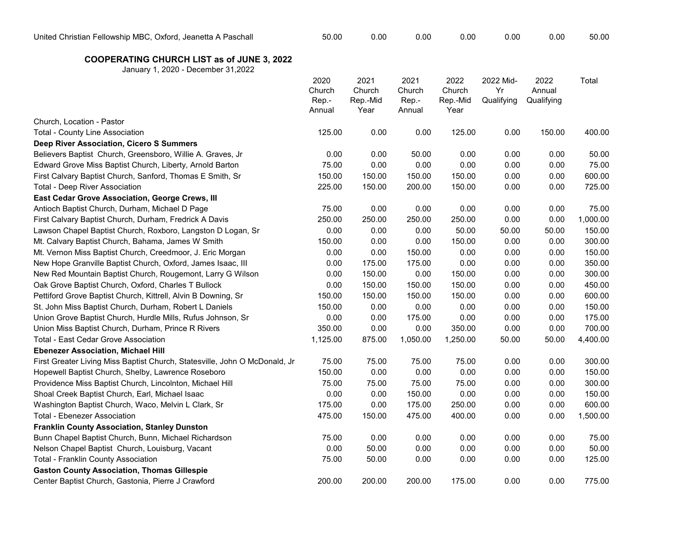| United<br>. Fellowship MBC.<br>Oxford. Jeanetta A Paschall<br>شhrıstıan | 50.00 | ა.00 | ა.00 | 0.00 | 0.00 | 0.00 | 50.00 |
|-------------------------------------------------------------------------|-------|------|------|------|------|------|-------|
|                                                                         |       |      |      |      |      |      |       |

|                                                                            | 2020<br>Church  | 2021<br>Church   | 2021<br>Church  | 2022<br>Church   | 2022 Mid-<br>Yr | 2022<br>Annual | Total    |
|----------------------------------------------------------------------------|-----------------|------------------|-----------------|------------------|-----------------|----------------|----------|
|                                                                            | Rep.-<br>Annual | Rep.-Mid<br>Year | Rep.-<br>Annual | Rep.-Mid<br>Year | Qualifying      | Qualifying     |          |
| Church, Location - Pastor                                                  |                 |                  |                 |                  |                 |                |          |
| Total - County Line Association                                            | 125.00          | 0.00             | 0.00            | 125.00           | 0.00            | 150.00         | 400.00   |
| Deep River Association, Cicero S Summers                                   |                 |                  |                 |                  |                 |                |          |
| Believers Baptist Church, Greensboro, Willie A. Graves, Jr                 | 0.00            | 0.00             | 50.00           | 0.00             | 0.00            | 0.00           | 50.00    |
| Edward Grove Miss Baptist Church, Liberty, Arnold Barton                   | 75.00           | 0.00             | 0.00            | 0.00             | 0.00            | 0.00           | 75.00    |
| First Calvary Baptist Church, Sanford, Thomas E Smith, Sr                  | 150.00          | 150.00           | 150.00          | 150.00           | 0.00            | 0.00           | 600.00   |
| <b>Total - Deep River Association</b>                                      | 225.00          | 150.00           | 200.00          | 150.00           | 0.00            | 0.00           | 725.00   |
| East Cedar Grove Association, George Crews, III                            |                 |                  |                 |                  |                 |                |          |
| Antioch Baptist Church, Durham, Michael D Page                             | 75.00           | 0.00             | 0.00            | 0.00             | 0.00            | 0.00           | 75.00    |
| First Calvary Baptist Church, Durham, Fredrick A Davis                     | 250.00          | 250.00           | 250.00          | 250.00           | 0.00            | 0.00           | 1,000.00 |
| Lawson Chapel Baptist Church, Roxboro, Langston D Logan, Sr                | 0.00            | 0.00             | 0.00            | 50.00            | 50.00           | 50.00          | 150.00   |
| Mt. Calvary Baptist Church, Bahama, James W Smith                          | 150.00          | 0.00             | 0.00            | 150.00           | 0.00            | 0.00           | 300.00   |
| Mt. Vernon Miss Baptist Church, Creedmoor, J. Eric Morgan                  | 0.00            | 0.00             | 150.00          | 0.00             | 0.00            | 0.00           | 150.00   |
| New Hope Granville Baptist Church, Oxford, James Isaac, III                | 0.00            | 175.00           | 175.00          | 0.00             | 0.00            | 0.00           | 350.00   |
| New Red Mountain Baptist Church, Rougemont, Larry G Wilson                 | 0.00            | 150.00           | 0.00            | 150.00           | 0.00            | 0.00           | 300.00   |
| Oak Grove Baptist Church, Oxford, Charles T Bullock                        | 0.00            | 150.00           | 150.00          | 150.00           | 0.00            | 0.00           | 450.00   |
| Pettiford Grove Baptist Church, Kittrell, Alvin B Downing, Sr              | 150.00          | 150.00           | 150.00          | 150.00           | 0.00            | 0.00           | 600.00   |
| St. John Miss Baptist Church, Durham, Robert L Daniels                     | 150.00          | 0.00             | 0.00            | 0.00             | 0.00            | 0.00           | 150.00   |
| Union Grove Baptist Church, Hurdle Mills, Rufus Johnson, Sr                | 0.00            | 0.00             | 175.00          | 0.00             | 0.00            | 0.00           | 175.00   |
| Union Miss Baptist Church, Durham, Prince R Rivers                         | 350.00          | 0.00             | 0.00            | 350.00           | 0.00            | 0.00           | 700.00   |
| <b>Total - East Cedar Grove Association</b>                                | 1,125.00        | 875.00           | 1,050.00        | 1,250.00         | 50.00           | 50.00          | 4,400.00 |
| <b>Ebenezer Association, Michael Hill</b>                                  |                 |                  |                 |                  |                 |                |          |
| First Greater Living Miss Baptist Church, Statesville, John O McDonald, Jr | 75.00           | 75.00            | 75.00           | 75.00            | 0.00            | 0.00           | 300.00   |
| Hopewell Baptist Church, Shelby, Lawrence Roseboro                         | 150.00          | 0.00             | 0.00            | 0.00             | 0.00            | 0.00           | 150.00   |
| Providence Miss Baptist Church, Lincolnton, Michael Hill                   | 75.00           | 75.00            | 75.00           | 75.00            | 0.00            | 0.00           | 300.00   |
| Shoal Creek Baptist Church, Earl, Michael Isaac                            | 0.00            | 0.00             | 150.00          | 0.00             | 0.00            | 0.00           | 150.00   |
| Washington Baptist Church, Waco, Melvin L Clark, Sr                        | 175.00          | 0.00             | 175.00          | 250.00           | 0.00            | 0.00           | 600.00   |
| <b>Total - Ebenezer Association</b>                                        | 475.00          | 150.00           | 475.00          | 400.00           | 0.00            | 0.00           | 1,500.00 |
| Franklin County Association, Stanley Dunston                               |                 |                  |                 |                  |                 |                |          |
| Bunn Chapel Baptist Church, Bunn, Michael Richardson                       | 75.00           | 0.00             | 0.00            | 0.00             | 0.00            | 0.00           | 75.00    |
| Nelson Chapel Baptist Church, Louisburg, Vacant                            | 0.00            | 50.00            | 0.00            | 0.00             | 0.00            | 0.00           | 50.00    |
| <b>Total - Franklin County Association</b>                                 | 75.00           | 50.00            | 0.00            | 0.00             | 0.00            | 0.00           | 125.00   |
| <b>Gaston County Association, Thomas Gillespie</b>                         |                 |                  |                 |                  |                 |                |          |
| Center Baptist Church, Gastonia, Pierre J Crawford                         | 200.00          | 200.00           | 200.00          | 175.00           | 0.00            | 0.00           | 775.00   |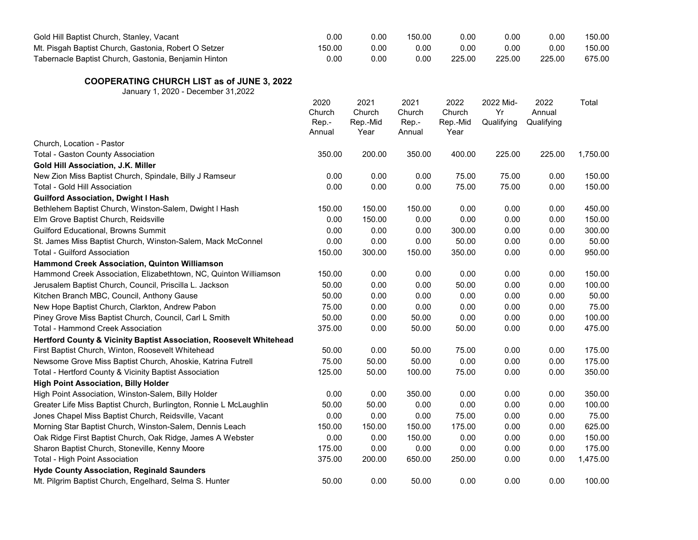| Gold Hill Baptist Church, Stanley, Vacant                                                | 0.00                              | 0.00                               | 150.00                            | 0.00                               | 0.00                          | 0.00                         | 150.00   |
|------------------------------------------------------------------------------------------|-----------------------------------|------------------------------------|-----------------------------------|------------------------------------|-------------------------------|------------------------------|----------|
| Mt. Pisgah Baptist Church, Gastonia, Robert O Setzer                                     | 150.00                            | 0.00                               | 0.00                              | 0.00                               | 0.00                          | 0.00                         | 150.00   |
| Tabernacle Baptist Church, Gastonia, Benjamin Hinton                                     | 0.00                              | 0.00                               | 0.00                              | 225.00                             | 225.00                        | 225.00                       | 675.00   |
| <b>COOPERATING CHURCH LIST as of JUNE 3, 2022</b><br>January 1, 2020 - December 31, 2022 |                                   |                                    |                                   |                                    |                               |                              |          |
|                                                                                          | 2020<br>Church<br>Rep.-<br>Annual | 2021<br>Church<br>Rep.-Mid<br>Year | 2021<br>Church<br>Rep.-<br>Annual | 2022<br>Church<br>Rep.-Mid<br>Year | 2022 Mid-<br>Yr<br>Qualifying | 2022<br>Annual<br>Qualifying | Total    |
| Church, Location - Pastor                                                                |                                   |                                    |                                   |                                    |                               |                              |          |
| <b>Total - Gaston County Association</b>                                                 | 350.00                            | 200.00                             | 350.00                            | 400.00                             | 225.00                        | 225.00                       | 1,750.00 |
| Gold Hill Association, J.K. Miller                                                       |                                   |                                    |                                   |                                    |                               |                              |          |
| New Zion Miss Baptist Church, Spindale, Billy J Ramseur                                  | 0.00                              | 0.00                               | 0.00                              | 75.00                              | 75.00                         | 0.00                         | 150.00   |
| Total - Gold Hill Association                                                            | 0.00                              | 0.00                               | 0.00                              | 75.00                              | 75.00                         | 0.00                         | 150.00   |
| <b>Guilford Association, Dwight I Hash</b>                                               |                                   |                                    |                                   |                                    |                               |                              |          |
| Bethlehem Baptist Church, Winston-Salem, Dwight I Hash                                   | 150.00                            | 150.00                             | 150.00                            | 0.00                               | 0.00                          | 0.00                         | 450.00   |
| Elm Grove Baptist Church, Reidsville                                                     | 0.00                              | 150.00                             | 0.00                              | 0.00                               | 0.00                          | 0.00                         | 150.00   |
| <b>Guilford Educational, Browns Summit</b>                                               | 0.00                              | 0.00                               | 0.00                              | 300.00                             | 0.00                          | 0.00                         | 300.00   |
| St. James Miss Baptist Church, Winston-Salem, Mack McConnel                              | 0.00                              | 0.00                               | 0.00                              | 50.00                              | 0.00                          | 0.00                         | 50.00    |
| <b>Total - Guilford Association</b>                                                      | 150.00                            | 300.00                             | 150.00                            | 350.00                             | 0.00                          | 0.00                         | 950.00   |
| Hammond Creek Association, Quinton Williamson                                            |                                   |                                    |                                   |                                    |                               |                              |          |
| Hammond Creek Association, Elizabethtown, NC, Quinton Williamson                         | 150.00                            | 0.00                               | 0.00                              | 0.00                               | 0.00                          | 0.00                         | 150.00   |
| Jerusalem Baptist Church, Council, Priscilla L. Jackson                                  | 50.00                             | 0.00                               | 0.00                              | 50.00                              | 0.00                          | 0.00                         | 100.00   |
| Kitchen Branch MBC, Council, Anthony Gause                                               | 50.00                             | 0.00                               | 0.00                              | 0.00                               | 0.00                          | 0.00                         | 50.00    |
| New Hope Baptist Church, Clarkton, Andrew Pabon                                          | 75.00                             | 0.00                               | 0.00                              | 0.00                               | 0.00                          | 0.00                         | 75.00    |
| Piney Grove Miss Baptist Church, Council, Carl L Smith                                   | 50.00                             | 0.00                               | 50.00                             | 0.00                               | 0.00                          | 0.00                         | 100.00   |
| Total - Hammond Creek Association                                                        | 375.00                            | 0.00                               | 50.00                             | 50.00                              | 0.00                          | 0.00                         | 475.00   |
| Hertford County & Vicinity Baptist Association, Roosevelt Whitehead                      |                                   |                                    |                                   |                                    |                               |                              |          |
| First Baptist Church, Winton, Roosevelt Whitehead                                        | 50.00                             | 0.00                               | 50.00                             | 75.00                              | 0.00                          | 0.00                         | 175.00   |
| Newsome Grove Miss Baptist Church, Ahoskie, Katrina Futrell                              | 75.00                             | 50.00                              | 50.00                             | 0.00                               | 0.00                          | 0.00                         | 175.00   |
| Total - Hertford County & Vicinity Baptist Association                                   | 125.00                            | 50.00                              | 100.00                            | 75.00                              | 0.00                          | 0.00                         | 350.00   |
| <b>High Point Association, Billy Holder</b>                                              |                                   |                                    |                                   |                                    |                               |                              |          |
| High Point Association, Winston-Salem, Billy Holder                                      | 0.00                              | 0.00                               | 350.00                            | 0.00                               | 0.00                          | 0.00                         | 350.00   |
| Greater Life Miss Baptist Church, Burlington, Ronnie L McLaughlin                        | 50.00                             | 50.00                              | 0.00                              | 0.00                               | 0.00                          | 0.00                         | 100.00   |
| Jones Chapel Miss Baptist Church, Reidsville, Vacant                                     | 0.00                              | 0.00                               | 0.00                              | 75.00                              | 0.00                          | 0.00                         | 75.00    |
| Morning Star Baptist Church, Winston-Salem, Dennis Leach                                 | 150.00                            | 150.00                             | 150.00                            | 175.00                             | 0.00                          | 0.00                         | 625.00   |
| Oak Ridge First Baptist Church, Oak Ridge, James A Webster                               | 0.00                              | 0.00                               | 150.00                            | 0.00                               | 0.00                          | 0.00                         | 150.00   |
| Sharon Baptist Church, Stoneville, Kenny Moore                                           | 175.00                            | 0.00                               | 0.00                              | 0.00                               | 0.00                          | 0.00                         | 175.00   |
| Total - High Point Association                                                           | 375.00                            | 200.00                             | 650.00                            | 250.00                             | 0.00                          | 0.00                         | 1,475.00 |
| <b>Hyde County Association, Reginald Saunders</b>                                        |                                   |                                    |                                   |                                    |                               |                              |          |
| Mt. Pilgrim Baptist Church, Engelhard, Selma S. Hunter                                   | 50.00                             | 0.00                               | 50.00                             | 0.00                               | 0.00                          | 0.00                         | 100.00   |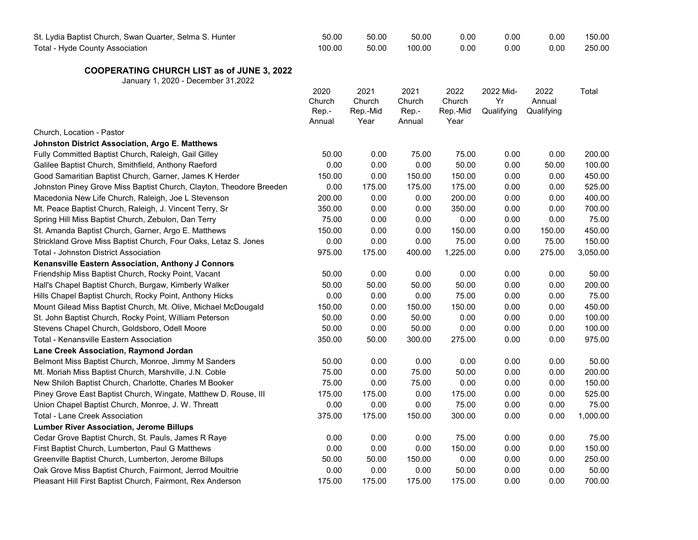| St. Lydia Baptist Church, Swan Quarter, Selma S. Hunter<br>Total - Hyde County Association | 50.00<br>100.00                   | 50.00<br>50.00                     | 50.00<br>100.00                   | 0.00<br>0.00                       | 0.00<br>0.00                  | 0.00<br>0.00                 | 150.00<br>250.00 |
|--------------------------------------------------------------------------------------------|-----------------------------------|------------------------------------|-----------------------------------|------------------------------------|-------------------------------|------------------------------|------------------|
| <b>COOPERATING CHURCH LIST as of JUNE 3, 2022</b><br>January 1, 2020 - December 31,2022    |                                   |                                    |                                   |                                    |                               |                              |                  |
|                                                                                            | 2020<br>Church<br>Rep.-<br>Annual | 2021<br>Church<br>Rep.-Mid<br>Year | 2021<br>Church<br>Rep.-<br>Annual | 2022<br>Church<br>Rep.-Mid<br>Year | 2022 Mid-<br>Yr<br>Qualifying | 2022<br>Annual<br>Qualifying | Total            |
| Church, Location - Pastor                                                                  |                                   |                                    |                                   |                                    |                               |                              |                  |
| Johnston District Association, Argo E. Matthews                                            |                                   |                                    |                                   |                                    |                               |                              |                  |
| Fully Committed Baptist Church, Raleigh, Gail Gilley                                       | 50.00                             | 0.00                               | 75.00                             | 75.00                              | 0.00                          | 0.00                         | 200.00           |
| Galilee Baptist Church, Smithfield, Anthony Raeford                                        | 0.00                              | 0.00                               | 0.00                              | 50.00                              | 0.00                          | 50.00                        | 100.00           |
| Good Samaritian Baptist Church, Garner, James K Herder                                     | 150.00                            | 0.00                               | 150.00                            | 150.00                             | 0.00                          | 0.00                         | 450.00           |
| Johnston Piney Grove Miss Baptist Church, Clayton, Theodore Breeden                        | 0.00                              | 175.00                             | 175.00                            | 175.00                             | 0.00                          | 0.00                         | 525.00           |
| Macedonia New Life Church, Raleigh, Joe L Stevenson                                        | 200.00                            | 0.00                               | 0.00                              | 200.00                             | 0.00                          | 0.00                         | 400.00           |
| Mt. Peace Baptist Church, Raleigh, J. Vincent Terry, Sr                                    | 350.00                            | 0.00                               | 0.00                              | 350.00                             | 0.00                          | 0.00                         | 700.00           |
| Spring Hill Miss Baptist Church, Zebulon, Dan Terry                                        | 75.00                             | 0.00                               | 0.00                              | 0.00                               | 0.00                          | 0.00                         | 75.00            |
| St. Amanda Baptist Church, Garner, Argo E. Matthews                                        | 150.00                            | 0.00                               | 0.00                              | 150.00                             | 0.00                          | 150.00                       | 450.00           |
| Strickland Grove Miss Baptist Church, Four Oaks, Letaz S. Jones                            | 0.00                              | 0.00                               | 0.00                              | 75.00                              | 0.00                          | 75.00                        | 150.00           |
| Total - Johnston District Association                                                      | 975.00                            | 175.00                             | 400.00                            | 1,225.00                           | 0.00                          | 275.00                       | 3,050.00         |
| Kenansville Eastern Association, Anthony J Connors                                         |                                   |                                    |                                   |                                    |                               |                              |                  |
| Friendship Miss Baptist Church, Rocky Point, Vacant                                        | 50.00                             | 0.00                               | 0.00                              | 0.00                               | 0.00                          | 0.00                         | 50.00            |
| Hall's Chapel Baptist Church, Burgaw, Kimberly Walker                                      | 50.00                             | 50.00                              | 50.00                             | 50.00                              | 0.00                          | 0.00                         | 200.00           |
| Hills Chapel Baptist Church, Rocky Point, Anthony Hicks                                    | 0.00                              | 0.00                               | 0.00                              | 75.00                              | 0.00                          | 0.00                         | 75.00            |
| Mount Gilead Miss Baptist Church, Mt. Olive, Michael McDougald                             | 150.00                            | 0.00                               | 150.00                            | 150.00                             | 0.00                          | 0.00                         | 450.00           |
| St. John Baptist Church, Rocky Point, William Peterson                                     | 50.00                             | 0.00                               | 50.00                             | 0.00                               | 0.00                          | 0.00                         | 100.00           |
| Stevens Chapel Church, Goldsboro, Odell Moore                                              | 50.00                             | 0.00                               | 50.00                             | 0.00                               | 0.00                          | 0.00                         | 100.00           |
| Total - Kenansville Eastern Association                                                    | 350.00                            | 50.00                              | 300.00                            | 275.00                             | 0.00                          | 0.00                         | 975.00           |
| Lane Creek Association, Raymond Jordan                                                     |                                   |                                    |                                   |                                    |                               |                              |                  |
| Belmont Miss Baptist Church, Monroe, Jimmy M Sanders                                       | 50.00                             | 0.00                               | 0.00                              | 0.00                               | 0.00                          | 0.00                         | 50.00            |
| Mt. Moriah Miss Baptist Church, Marshville, J.N. Coble                                     | 75.00                             | 0.00                               | 75.00                             | 50.00                              | 0.00                          | 0.00                         | 200.00           |
| New Shiloh Baptist Church, Charlotte, Charles M Booker                                     | 75.00                             | 0.00                               | 75.00                             | 0.00                               | 0.00                          | 0.00                         | 150.00           |
| Piney Grove East Baptist Church, Wingate, Matthew D. Rouse, III                            | 175.00                            | 175.00                             | 0.00                              | 175.00                             | 0.00                          | 0.00                         | 525.00           |
| Union Chapel Baptist Church, Monroe, J. W. Threatt                                         | 0.00                              | 0.00                               | 0.00                              | 75.00                              | 0.00                          | 0.00                         | 75.00            |
| <b>Total - Lane Creek Association</b>                                                      | 375.00                            | 175.00                             | 150.00                            | 300.00                             | 0.00                          | 0.00                         | 1,000.00         |
| <b>Lumber River Association, Jerome Billups</b>                                            |                                   |                                    |                                   |                                    |                               |                              |                  |
| Cedar Grove Baptist Church, St. Pauls, James R Raye                                        | 0.00                              | 0.00                               | 0.00                              | 75.00                              | 0.00                          | 0.00                         | 75.00            |
| First Baptist Church, Lumberton, Paul G Matthews                                           | 0.00                              | 0.00                               | 0.00                              | 150.00                             | 0.00                          | 0.00                         | 150.00           |
| Greenville Baptist Church, Lumberton, Jerome Billups                                       | 50.00                             | 50.00                              | 150.00                            | 0.00                               | 0.00                          | 0.00                         | 250.00           |
| Oak Grove Miss Baptist Church, Fairmont, Jerrod Moultrie                                   | 0.00                              | 0.00                               | 0.00                              | 50.00                              | 0.00                          | 0.00                         | 50.00            |
| Pleasant Hill First Baptist Church, Fairmont, Rex Anderson                                 | 175.00                            | 175.00                             | 175.00                            | 175.00                             | 0.00                          | 0.00                         | 700.00           |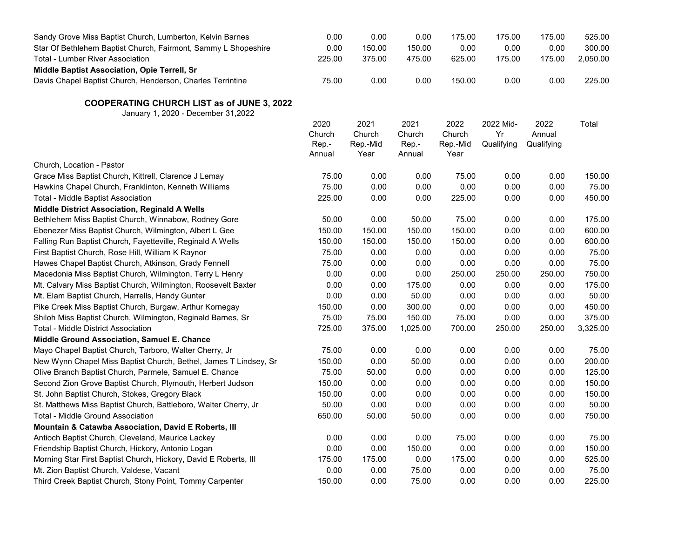| Sandy Grove Miss Baptist Church, Lumberton, Kelvin Barnes                                | 0.00                              | 0.00                               | 0.00                              | 175.00                             | 175.00                        | 175.00                       | 525.00   |
|------------------------------------------------------------------------------------------|-----------------------------------|------------------------------------|-----------------------------------|------------------------------------|-------------------------------|------------------------------|----------|
| Star Of Bethlehem Baptist Church, Fairmont, Sammy L Shopeshire                           | 0.00                              | 150.00                             | 150.00                            | 0.00                               | 0.00                          | 0.00                         | 300.00   |
| Total - Lumber River Association                                                         | 225.00                            | 375.00                             | 475.00                            | 625.00                             | 175.00                        | 175.00                       | 2,050.00 |
| Middle Baptist Association, Opie Terrell, Sr                                             |                                   |                                    |                                   |                                    |                               |                              |          |
| Davis Chapel Baptist Church, Henderson, Charles Terrintine                               | 75.00                             | 0.00                               | 0.00                              | 150.00                             | 0.00                          | 0.00                         | 225.00   |
| <b>COOPERATING CHURCH LIST as of JUNE 3, 2022</b><br>January 1, 2020 - December 31, 2022 |                                   |                                    |                                   |                                    |                               |                              |          |
|                                                                                          | 2020<br>Church<br>Rep.-<br>Annual | 2021<br>Church<br>Rep.-Mid<br>Year | 2021<br>Church<br>Rep.-<br>Annual | 2022<br>Church<br>Rep.-Mid<br>Year | 2022 Mid-<br>Yr<br>Qualifying | 2022<br>Annual<br>Qualifying | Total    |
| Church, Location - Pastor                                                                |                                   |                                    |                                   |                                    |                               |                              |          |
| Grace Miss Baptist Church, Kittrell, Clarence J Lemay                                    | 75.00                             | 0.00                               | 0.00                              | 75.00                              | 0.00                          | 0.00                         | 150.00   |
| Hawkins Chapel Church, Franklinton, Kenneth Williams                                     | 75.00                             | 0.00                               | 0.00                              | 0.00                               | 0.00                          | 0.00                         | 75.00    |
| Total - Middle Baptist Association                                                       | 225.00                            | 0.00                               | 0.00                              | 225.00                             | 0.00                          | 0.00                         | 450.00   |
| Middle District Association, Reginald A Wells                                            |                                   |                                    |                                   |                                    |                               |                              |          |
| Bethlehem Miss Baptist Church, Winnabow, Rodney Gore                                     | 50.00                             | 0.00                               | 50.00                             | 75.00                              | 0.00                          | 0.00                         | 175.00   |
| Ebenezer Miss Baptist Church, Wilmington, Albert L Gee                                   | 150.00                            | 150.00                             | 150.00                            | 150.00                             | 0.00                          | 0.00                         | 600.00   |
| Falling Run Baptist Church, Fayetteville, Reginald A Wells                               | 150.00                            | 150.00                             | 150.00                            | 150.00                             | 0.00                          | 0.00                         | 600.00   |
| First Baptist Church, Rose Hill, William K Raynor                                        | 75.00                             | 0.00                               | 0.00                              | 0.00                               | 0.00                          | 0.00                         | 75.00    |
| Hawes Chapel Baptist Church, Atkinson, Grady Fennell                                     | 75.00                             | 0.00                               | 0.00                              | 0.00                               | 0.00                          | 0.00                         | 75.00    |
| Macedonia Miss Baptist Church, Wilmington, Terry L Henry                                 | 0.00                              | 0.00                               | 0.00                              | 250.00                             | 250.00                        | 250.00                       | 750.00   |
| Mt. Calvary Miss Baptist Church, Wilmington, Roosevelt Baxter                            | 0.00                              | 0.00                               | 175.00                            | 0.00                               | 0.00                          | 0.00                         | 175.00   |
| Mt. Elam Baptist Church, Harrells, Handy Gunter                                          | 0.00                              | 0.00                               | 50.00                             | 0.00                               | 0.00                          | 0.00                         | 50.00    |
| Pike Creek Miss Baptist Church, Burgaw, Arthur Kornegay                                  | 150.00                            | 0.00                               | 300.00                            | 0.00                               | 0.00                          | 0.00                         | 450.00   |
| Shiloh Miss Baptist Church, Wilmington, Reginald Barnes, Sr                              | 75.00                             | 75.00                              | 150.00                            | 75.00                              | 0.00                          | 0.00                         | 375.00   |
| Total - Middle District Association                                                      | 725.00                            | 375.00                             | 1,025.00                          | 700.00                             | 250.00                        | 250.00                       | 3,325.00 |
| <b>Middle Ground Association, Samuel E. Chance</b>                                       |                                   |                                    |                                   |                                    |                               |                              |          |
| Mayo Chapel Baptist Church, Tarboro, Walter Cherry, Jr                                   | 75.00                             | 0.00                               | 0.00                              | 0.00                               | 0.00                          | 0.00                         | 75.00    |
| New Wynn Chapel Miss Baptist Church, Bethel, James T Lindsey, Sr                         | 150.00                            | 0.00                               | 50.00                             | 0.00                               | 0.00                          | 0.00                         | 200.00   |
| Olive Branch Baptist Church, Parmele, Samuel E. Chance                                   | 75.00                             | 50.00                              | 0.00                              | 0.00                               | 0.00                          | 0.00                         | 125.00   |
| Second Zion Grove Baptist Church, Plymouth, Herbert Judson                               | 150.00                            | 0.00                               | 0.00                              | 0.00                               | 0.00                          | 0.00                         | 150.00   |
| St. John Baptist Church, Stokes, Gregory Black                                           | 150.00                            | 0.00                               | 0.00                              | 0.00                               | 0.00                          | 0.00                         | 150.00   |
| St. Matthews Miss Baptist Church, Battleboro, Walter Cherry, Jr                          | 50.00                             | 0.00                               | 0.00                              | 0.00                               | 0.00                          | 0.00                         | 50.00    |
| Total - Middle Ground Association                                                        | 650.00                            | 50.00                              | 50.00                             | 0.00                               | 0.00                          | 0.00                         | 750.00   |
| Mountain & Catawba Association, David E Roberts, III                                     |                                   |                                    |                                   |                                    |                               |                              |          |
| Antioch Baptist Church, Cleveland, Maurice Lackey                                        | 0.00                              | 0.00                               | 0.00                              | 75.00                              | 0.00                          | 0.00                         | 75.00    |
| Friendship Baptist Church, Hickory, Antonio Logan                                        | 0.00                              | 0.00                               | 150.00                            | 0.00                               | 0.00                          | 0.00                         | 150.00   |
| Morning Star First Baptist Church, Hickory, David E Roberts, III                         | 175.00                            | 175.00                             | 0.00                              | 175.00                             | 0.00                          | 0.00                         | 525.00   |
| Mt. Zion Baptist Church, Valdese, Vacant                                                 | 0.00                              | 0.00                               | 75.00                             | 0.00                               | 0.00                          | 0.00                         | 75.00    |
| Third Creek Baptist Church, Stony Point, Tommy Carpenter                                 | 150.00                            | 0.00                               | 75.00                             | 0.00                               | 0.00                          | 0.00                         | 225.00   |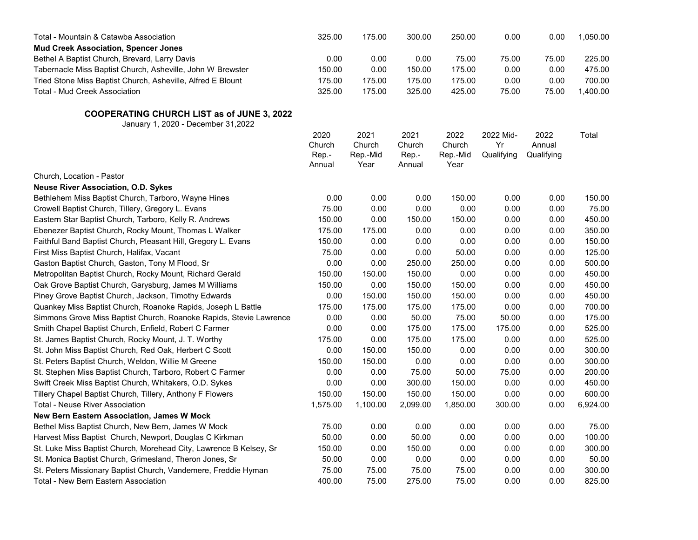| Total - Mountain & Catawba Association                                                  | 325.00          | 175.00           | 300.00          | 250.00           | 0.00            | 0.00           | 1,050.00 |
|-----------------------------------------------------------------------------------------|-----------------|------------------|-----------------|------------------|-----------------|----------------|----------|
| <b>Mud Creek Association, Spencer Jones</b>                                             |                 |                  |                 |                  |                 |                |          |
| Bethel A Baptist Church, Brevard, Larry Davis                                           | 0.00            | 0.00             | 0.00            | 75.00            | 75.00           | 75.00          | 225.00   |
| Tabernacle Miss Baptist Church, Asheville, John W Brewster                              | 150.00          | 0.00             | 150.00          | 175.00           | 0.00            | 0.00           | 475.00   |
| Tried Stone Miss Baptist Church, Asheville, Alfred E Blount                             | 175.00          | 175.00           | 175.00          | 175.00           | 0.00            | 0.00           | 700.00   |
| Total - Mud Creek Association                                                           | 325.00          | 175.00           | 325.00          | 425.00           | 75.00           | 75.00          | 1,400.00 |
| <b>COOPERATING CHURCH LIST as of JUNE 3, 2022</b><br>January 1, 2020 - December 31,2022 |                 |                  |                 |                  |                 |                |          |
|                                                                                         | 2020<br>Church  | 2021<br>Church   | 2021<br>Church  | 2022<br>Church   | 2022 Mid-<br>Yr | 2022<br>Annual | Total    |
|                                                                                         | Rep.-<br>Annual | Rep.-Mid<br>Year | Rep.-<br>Annual | Rep.-Mid<br>Year | Qualifying      | Qualifying     |          |
| Church, Location - Pastor                                                               |                 |                  |                 |                  |                 |                |          |
| <b>Neuse River Association, O.D. Sykes</b>                                              |                 |                  |                 |                  |                 |                |          |
| Bethlehem Miss Baptist Church, Tarboro, Wayne Hines                                     | 0.00            | 0.00             | 0.00            | 150.00           | 0.00            | 0.00           | 150.00   |
| Crowell Baptist Church, Tillery, Gregory L. Evans                                       | 75.00           | 0.00             | 0.00            | 0.00             | 0.00            | 0.00           | 75.00    |
| Eastern Star Baptist Church, Tarboro, Kelly R. Andrews                                  | 150.00          | 0.00             | 150.00          | 150.00           | 0.00            | 0.00           | 450.00   |
| Ebenezer Baptist Church, Rocky Mount, Thomas L Walker                                   | 175.00          | 175.00           | 0.00            | 0.00             | 0.00            | 0.00           | 350.00   |
| Faithful Band Baptist Church, Pleasant Hill, Gregory L. Evans                           | 150.00          | 0.00             | 0.00            | 0.00             | 0.00            | 0.00           | 150.00   |
| First Miss Baptist Church, Halifax, Vacant                                              | 75.00           | 0.00             | 0.00            | 50.00            | 0.00            | 0.00           | 125.00   |
| Gaston Baptist Church, Gaston, Tony M Flood, Sr                                         | 0.00            | 0.00             | 250.00          | 250.00           | 0.00            | 0.00           | 500.00   |
| Metropolitan Baptist Church, Rocky Mount, Richard Gerald                                | 150.00          | 150.00           | 150.00          | 0.00             | 0.00            | 0.00           | 450.00   |
| Oak Grove Baptist Church, Garysburg, James M Williams                                   | 150.00          | 0.00             | 150.00          | 150.00           | 0.00            | 0.00           | 450.00   |
| Piney Grove Baptist Church, Jackson, Timothy Edwards                                    | 0.00            | 150.00           | 150.00          | 150.00           | 0.00            | 0.00           | 450.00   |
| Quankey Miss Baptist Church, Roanoke Rapids, Joseph L Battle                            | 175.00          | 175.00           | 175.00          | 175.00           | 0.00            | 0.00           | 700.00   |
| Simmons Grove Miss Baptist Church, Roanoke Rapids, Stevie Lawrence                      | 0.00            | 0.00             | 50.00           | 75.00            | 50.00           | 0.00           | 175.00   |
| Smith Chapel Baptist Church, Enfield, Robert C Farmer                                   | 0.00            | 0.00             | 175.00          | 175.00           | 175.00          | 0.00           | 525.00   |
| St. James Baptist Church, Rocky Mount, J. T. Worthy                                     | 175.00          | 0.00             | 175.00          | 175.00           | 0.00            | 0.00           | 525.00   |
| St. John Miss Baptist Church, Red Oak, Herbert C Scott                                  | 0.00            | 150.00           | 150.00          | 0.00             | 0.00            | 0.00           | 300.00   |
| St. Peters Baptist Church, Weldon, Willie M Greene                                      | 150.00          | 150.00           | 0.00            | 0.00             | 0.00            | 0.00           | 300.00   |
| St. Stephen Miss Baptist Church, Tarboro, Robert C Farmer                               | 0.00            | 0.00             | 75.00           | 50.00            | 75.00           | 0.00           | 200.00   |
| Swift Creek Miss Baptist Church, Whitakers, O.D. Sykes                                  | 0.00            | 0.00             | 300.00          | 150.00           | 0.00            | 0.00           | 450.00   |
| Tillery Chapel Baptist Church, Tillery, Anthony F Flowers                               | 150.00          | 150.00           | 150.00          | 150.00           | 0.00            | 0.00           | 600.00   |
| <b>Total - Neuse River Association</b>                                                  | 1,575.00        | 1,100.00         | 2,099.00        | 1,850.00         | 300.00          | 0.00           | 6,924.00 |
| <b>New Bern Eastern Association, James W Mock</b>                                       |                 |                  |                 |                  |                 |                |          |
| Bethel Miss Baptist Church, New Bern, James W Mock                                      | 75.00           | 0.00             | 0.00            | 0.00             | 0.00            | 0.00           | 75.00    |
| Harvest Miss Baptist Church, Newport, Douglas C Kirkman                                 | 50.00           | 0.00             | 50.00           | 0.00             | 0.00            | 0.00           | 100.00   |
| St. Luke Miss Baptist Church, Morehead City, Lawrence B Kelsey, Sr                      | 150.00          | 0.00             | 150.00          | 0.00             | 0.00            | 0.00           | 300.00   |
| St. Monica Baptist Church, Grimesland, Theron Jones, Sr                                 | 50.00           | 0.00             | 0.00            | 0.00             | 0.00            | 0.00           | 50.00    |
| St. Peters Missionary Baptist Church, Vandemere, Freddie Hyman                          | 75.00           | 75.00            | 75.00           | 75.00            | 0.00            | 0.00           | 300.00   |
| Total - New Bern Eastern Association                                                    | 400.00          | 75.00            | 275.00          | 75.00            | 0.00            | 0.00           | 825.00   |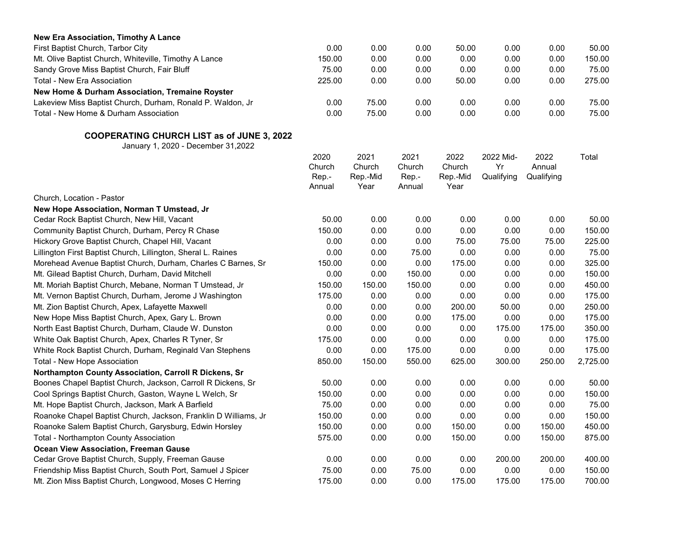| New Era Association, Timothy A Lance                       |        |       |      |       |      |      |        |
|------------------------------------------------------------|--------|-------|------|-------|------|------|--------|
| First Baptist Church, Tarbor City                          | 0.00   | 0.00  | 0.00 | 50.00 | 0.00 | 0.00 | 50.00  |
| Mt. Olive Baptist Church, Whiteville, Timothy A Lance      | 150.00 | 0.00  | 0.00 | 0.00  | 0.00 | 0.00 | 150.00 |
| Sandy Grove Miss Baptist Church, Fair Bluff                | 75.00  | 0.00  | 0.00 | 0.00  | 0.00 | 0.00 | 75.00  |
| Total - New Era Association                                | 225.00 | 0.00  | 0.00 | 50.00 | 0.00 | 0.00 | 275.00 |
| New Home & Durham Association, Tremaine Royster            |        |       |      |       |      |      |        |
| Lakeview Miss Baptist Church, Durham, Ronald P. Waldon, Jr | 0.00   | 75.00 | 0.00 | 0.00  | 0.00 | 0.00 | 75.00  |
| Total - New Home & Durham Association                      | 0.00   | 75.00 | 0.00 | 0.00  | 0.00 | 0.00 | 75.00  |

|                                                                 | 2020<br>Church | 2021               | 2021            | 2022               | 2022 Mid-        | 2022                 | Total    |
|-----------------------------------------------------------------|----------------|--------------------|-----------------|--------------------|------------------|----------------------|----------|
|                                                                 | Rep.-          | Church<br>Rep.-Mid | Church<br>Rep.- | Church<br>Rep.-Mid | Yr<br>Qualifying | Annual<br>Qualifying |          |
|                                                                 | Annual         | Year               | Annual          | Year               |                  |                      |          |
| Church, Location - Pastor                                       |                |                    |                 |                    |                  |                      |          |
| New Hope Association, Norman T Umstead, Jr                      |                |                    |                 |                    |                  |                      |          |
| Cedar Rock Baptist Church, New Hill, Vacant                     | 50.00          | 0.00               | 0.00            | 0.00               | 0.00             | 0.00                 | 50.00    |
| Community Baptist Church, Durham, Percy R Chase                 | 150.00         | 0.00               | 0.00            | 0.00               | 0.00             | 0.00                 | 150.00   |
| Hickory Grove Baptist Church, Chapel Hill, Vacant               | 0.00           | 0.00               | 0.00            | 75.00              | 75.00            | 75.00                | 225.00   |
| Lillington First Baptist Church, Lillington, Sheral L. Raines   | 0.00           | 0.00               | 75.00           | 0.00               | 0.00             | 0.00                 | 75.00    |
| Morehead Avenue Baptist Church, Durham, Charles C Barnes, Sr    | 150.00         | 0.00               | 0.00            | 175.00             | 0.00             | 0.00                 | 325.00   |
| Mt. Gilead Baptist Church, Durham, David Mitchell               | 0.00           | 0.00               | 150.00          | 0.00               | 0.00             | 0.00                 | 150.00   |
| Mt. Moriah Baptist Church, Mebane, Norman T Umstead, Jr         | 150.00         | 150.00             | 150.00          | 0.00               | 0.00             | 0.00                 | 450.00   |
| Mt. Vernon Baptist Church, Durham, Jerome J Washington          | 175.00         | 0.00               | 0.00            | 0.00               | 0.00             | 0.00                 | 175.00   |
| Mt. Zion Baptist Church, Apex, Lafayette Maxwell                | 0.00           | 0.00               | 0.00            | 200.00             | 50.00            | 0.00                 | 250.00   |
| New Hope Miss Baptist Church, Apex, Gary L. Brown               | 0.00           | 0.00               | 0.00            | 175.00             | 0.00             | 0.00                 | 175.00   |
| North East Baptist Church, Durham, Claude W. Dunston            | 0.00           | 0.00               | 0.00            | 0.00               | 175.00           | 175.00               | 350.00   |
| White Oak Baptist Church, Apex, Charles R Tyner, Sr             | 175.00         | 0.00               | 0.00            | 0.00               | 0.00             | 0.00                 | 175.00   |
| White Rock Baptist Church, Durham, Reginald Van Stephens        | 0.00           | 0.00               | 175.00          | 0.00               | 0.00             | 0.00                 | 175.00   |
| Total - New Hope Association                                    | 850.00         | 150.00             | 550.00          | 625.00             | 300.00           | 250.00               | 2,725.00 |
| Northampton County Association, Carroll R Dickens, Sr           |                |                    |                 |                    |                  |                      |          |
| Boones Chapel Baptist Church, Jackson, Carroll R Dickens, Sr    | 50.00          | 0.00               | 0.00            | 0.00               | 0.00             | 0.00                 | 50.00    |
| Cool Springs Baptist Church, Gaston, Wayne L Welch, Sr          | 150.00         | 0.00               | 0.00            | 0.00               | 0.00             | 0.00                 | 150.00   |
| Mt. Hope Baptist Church, Jackson, Mark A Barfield               | 75.00          | 0.00               | 0.00            | 0.00               | 0.00             | 0.00                 | 75.00    |
| Roanoke Chapel Baptist Church, Jackson, Franklin D Williams, Jr | 150.00         | 0.00               | 0.00            | 0.00               | 0.00             | 0.00                 | 150.00   |
| Roanoke Salem Baptist Church, Garysburg, Edwin Horsley          | 150.00         | 0.00               | 0.00            | 150.00             | 0.00             | 150.00               | 450.00   |
| <b>Total - Northampton County Association</b>                   | 575.00         | 0.00               | 0.00            | 150.00             | 0.00             | 150.00               | 875.00   |
| <b>Ocean View Association, Freeman Gause</b>                    |                |                    |                 |                    |                  |                      |          |
| Cedar Grove Baptist Church, Supply, Freeman Gause               | 0.00           | 0.00               | 0.00            | 0.00               | 200.00           | 200.00               | 400.00   |
| Friendship Miss Baptist Church, South Port, Samuel J Spicer     | 75.00          | 0.00               | 75.00           | 0.00               | 0.00             | 0.00                 | 150.00   |
| Mt. Zion Miss Baptist Church, Longwood, Moses C Herring         | 175.00         | 0.00               | 0.00            | 175.00             | 175.00           | 175.00               | 700.00   |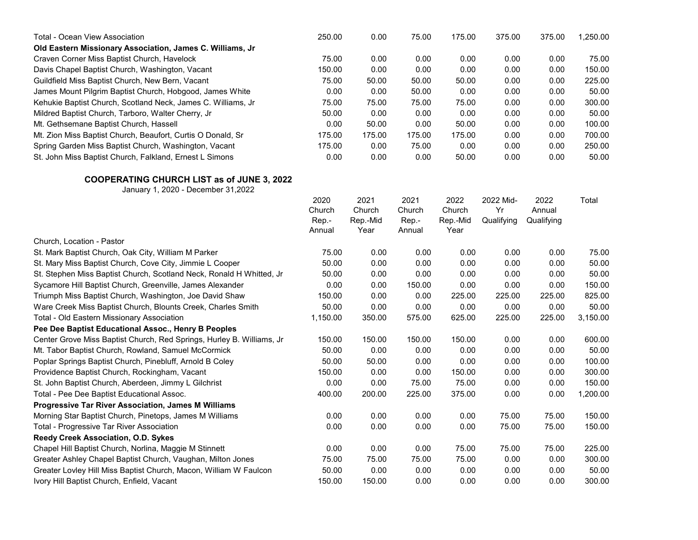| <b>Total - Ocean View Association</b>                                                    | 250.00   | 0.00     | 75.00  | 175.00   | 375.00     | 375.00     | 1,250.00 |
|------------------------------------------------------------------------------------------|----------|----------|--------|----------|------------|------------|----------|
| Old Eastern Missionary Association, James C. Williams, Jr                                |          |          |        |          |            |            |          |
| Craven Corner Miss Baptist Church, Havelock                                              | 75.00    | 0.00     | 0.00   | 0.00     | 0.00       | 0.00       | 75.00    |
| Davis Chapel Baptist Church, Washington, Vacant                                          | 150.00   | 0.00     | 0.00   | 0.00     | 0.00       | 0.00       | 150.00   |
| Guildfield Miss Baptist Church, New Bern, Vacant                                         | 75.00    | 50.00    | 50.00  | 50.00    | 0.00       | 0.00       | 225.00   |
| James Mount Pilgrim Baptist Church, Hobgood, James White                                 | 0.00     | 0.00     | 50.00  | 0.00     | 0.00       | 0.00       | 50.00    |
| Kehukie Baptist Church, Scotland Neck, James C. Williams, Jr                             | 75.00    | 75.00    | 75.00  | 75.00    | 0.00       | 0.00       | 300.00   |
| Mildred Baptist Church, Tarboro, Walter Cherry, Jr                                       | 50.00    | 0.00     | 0.00   | 0.00     | 0.00       | 0.00       | 50.00    |
| Mt. Gethsemane Baptist Church, Hassell                                                   | 0.00     | 50.00    | 0.00   | 50.00    | 0.00       | 0.00       | 100.00   |
| Mt. Zion Miss Baptist Church, Beaufort, Curtis O Donald, Sr                              | 175.00   | 175.00   | 175.00 | 175.00   | 0.00       | 0.00       | 700.00   |
| Spring Garden Miss Baptist Church, Washington, Vacant                                    | 175.00   | 0.00     | 75.00  | 0.00     | 0.00       | 0.00       | 250.00   |
| St. John Miss Baptist Church, Falkland, Ernest L Simons                                  | 0.00     | 0.00     | 0.00   | 50.00    | 0.00       | 0.00       | 50.00    |
| <b>COOPERATING CHURCH LIST as of JUNE 3, 2022</b><br>January 1, 2020 - December 31, 2022 |          |          |        |          |            |            |          |
|                                                                                          | 2020     | 2021     | 2021   | 2022     | 2022 Mid-  | 2022       | Total    |
|                                                                                          | Church   | Church   | Church | Church   | Yr         | Annual     |          |
|                                                                                          | Rep.-    | Rep.-Mid | Rep.-  | Rep.-Mid | Qualifying | Qualifying |          |
|                                                                                          | Annual   | Year     | Annual | Year     |            |            |          |
| Church, Location - Pastor                                                                |          |          |        |          |            |            |          |
| St. Mark Baptist Church, Oak City, William M Parker                                      | 75.00    | 0.00     | 0.00   | 0.00     | 0.00       | 0.00       | 75.00    |
| St. Mary Miss Baptist Church, Cove City, Jimmie L Cooper                                 | 50.00    | 0.00     | 0.00   | 0.00     | 0.00       | 0.00       | 50.00    |
| St. Stephen Miss Baptist Church, Scotland Neck, Ronald H Whitted, Jr                     | 50.00    | 0.00     | 0.00   | 0.00     | 0.00       | 0.00       | 50.00    |
| Sycamore Hill Baptist Church, Greenville, James Alexander                                | 0.00     | 0.00     | 150.00 | 0.00     | 0.00       | 0.00       | 150.00   |
| Triumph Miss Baptist Church, Washington, Joe David Shaw                                  | 150.00   | 0.00     | 0.00   | 225.00   | 225.00     | 225.00     | 825.00   |
| Ware Creek Miss Baptist Church, Blounts Creek, Charles Smith                             | 50.00    | 0.00     | 0.00   | 0.00     | 0.00       | 0.00       | 50.00    |
| Total - Old Eastern Missionary Association                                               | 1,150.00 | 350.00   | 575.00 | 625.00   | 225.00     | 225.00     | 3,150.00 |
| Pee Dee Baptist Educational Assoc., Henry B Peoples                                      |          |          |        |          |            |            |          |
| Center Grove Miss Baptist Church, Red Springs, Hurley B. Williams, Jr                    | 150.00   | 150.00   | 150.00 | 150.00   | 0.00       | 0.00       | 600.00   |
| Mt. Tabor Baptist Church, Rowland, Samuel McCormick                                      | 50.00    | 0.00     | 0.00   | 0.00     | 0.00       | 0.00       | 50.00    |
| Poplar Springs Baptist Church, Pinebluff, Arnold B Coley                                 | 50.00    | 50.00    | 0.00   | 0.00     | 0.00       | 0.00       | 100.00   |
| Providence Baptist Church, Rockingham, Vacant                                            | 150.00   | 0.00     | 0.00   | 150.00   | 0.00       | 0.00       | 300.00   |
| St. John Baptist Church, Aberdeen, Jimmy L Gilchrist                                     | 0.00     | 0.00     | 75.00  | 75.00    | 0.00       | 0.00       | 150.00   |
| Total - Pee Dee Baptist Educational Assoc.                                               | 400.00   | 200.00   | 225.00 | 375.00   | 0.00       | 0.00       | 1,200.00 |
| <b>Progressive Tar River Association, James M Williams</b>                               |          |          |        |          |            |            |          |
| Morning Star Baptist Church, Pinetops, James M Williams                                  | 0.00     | 0.00     | 0.00   | 0.00     | 75.00      | 75.00      | 150.00   |
| Total - Progressive Tar River Association                                                | 0.00     | 0.00     | 0.00   | 0.00     | 75.00      | 75.00      | 150.00   |
| Reedy Creek Association, O.D. Sykes                                                      |          |          |        |          |            |            |          |
| Chapel Hill Baptist Church, Norlina, Maggie M Stinnett                                   | 0.00     | 0.00     | 0.00   | 75.00    | 75.00      | 75.00      | 225.00   |
| Greater Ashley Chapel Baptist Church, Vaughan, Milton Jones                              | 75.00    | 75.00    | 75.00  | 75.00    | 0.00       | 0.00       | 300.00   |
| Greater Lovley Hill Miss Baptist Church, Macon, William W Faulcon                        | 50.00    | 0.00     | 0.00   | 0.00     | 0.00       | 0.00       | 50.00    |
| Ivory Hill Baptist Church, Enfield, Vacant                                               | 150.00   | 150.00   | 0.00   | 0.00     | 0.00       | 0.00       | 300.00   |
|                                                                                          |          |          |        |          |            |            |          |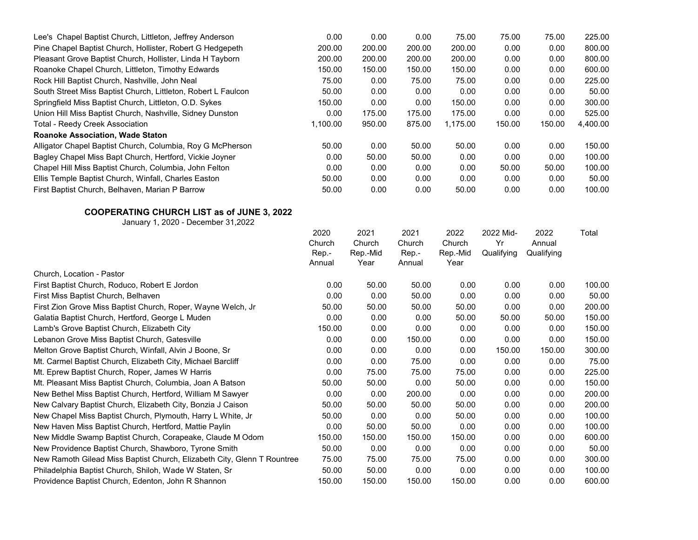| Lee's Chapel Baptist Church, Littleton, Jeffrey Anderson      | 0.00     | 0.00   | 0.00   | 75.00    | 75.00  | 75.00  | 225.00   |
|---------------------------------------------------------------|----------|--------|--------|----------|--------|--------|----------|
| Pine Chapel Baptist Church, Hollister, Robert G Hedgepeth     | 200.00   | 200.00 | 200.00 | 200.00   | 0.00   | 0.00   | 800.00   |
| Pleasant Grove Baptist Church, Hollister, Linda H Tayborn     | 200.00   | 200.00 | 200.00 | 200.00   | 0.00   | 0.00   | 800.00   |
| Roanoke Chapel Church, Littleton, Timothy Edwards             | 150.00   | 150.00 | 150.00 | 150.00   | 0.00   | 0.00   | 600.00   |
| Rock Hill Baptist Church, Nashville, John Neal                | 75.00    | 0.00   | 75.00  | 75.00    | 0.00   | 0.00   | 225.00   |
| South Street Miss Baptist Church, Littleton, Robert L Faulcon | 50.00    | 0.00   | 0.00   | 0.00     | 0.00   | 0.00   | 50.00    |
| Springfield Miss Baptist Church, Littleton, O.D. Sykes        | 150.00   | 0.00   | 0.00   | 150.00   | 0.00   | 0.00   | 300.00   |
| Union Hill Miss Baptist Church, Nashville, Sidney Dunston     | 0.00     | 175.00 | 175.00 | 175.00   | 0.00   | 0.00   | 525.00   |
| <b>Total - Reedy Creek Association</b>                        | 1,100.00 | 950.00 | 875.00 | 1,175.00 | 150.00 | 150.00 | 4,400.00 |
| <b>Roanoke Association, Wade Staton</b>                       |          |        |        |          |        |        |          |
| Alligator Chapel Baptist Church, Columbia, Roy G McPherson    | 50.00    | 0.00   | 50.00  | 50.00    | 0.00   | 0.00   | 150.00   |
| Bagley Chapel Miss Bapt Church, Hertford, Vickie Joyner       | 0.00     | 50.00  | 50.00  | 0.00     | 0.00   | 0.00   | 100.00   |
| Chapel Hill Miss Baptist Church, Columbia, John Felton        | 0.00     | 0.00   | 0.00   | 0.00     | 50.00  | 50.00  | 100.00   |
| Ellis Temple Baptist Church, Winfall, Charles Easton          | 50.00    | 0.00   | 0.00   | 0.00     | 0.00   | 0.00   | 50.00    |
| First Baptist Church, Belhaven, Marian P Barrow               | 50.00    | 0.00   | 0.00   | 50.00    | 0.00   | 0.00   | 100.00   |
|                                                               |          |        |        |          |        |        |          |

|                                                                         | 2020   | 2021           | 2021   | 2022     | 2022 Mid-  | 2022       | Total  |
|-------------------------------------------------------------------------|--------|----------------|--------|----------|------------|------------|--------|
|                                                                         | Church | Church         | Church | Church   | Yr         | Annual     |        |
|                                                                         | Rep.-  | Rep.-Mid       | Rep.-  | Rep.-Mid | Qualifying | Qualifying |        |
|                                                                         | Annual | Year<br>Annual | Year   |          |            |            |        |
| Church, Location - Pastor                                               |        |                |        |          |            |            |        |
| First Baptist Church, Roduco, Robert E Jordon                           | 0.00   | 50.00          | 50.00  | 0.00     | 0.00       | 0.00       | 100.00 |
| First Miss Baptist Church, Belhaven                                     | 0.00   | 0.00           | 50.00  | 0.00     | 0.00       | 0.00       | 50.00  |
| First Zion Grove Miss Baptist Church, Roper, Wayne Welch, Jr            | 50.00  | 50.00          | 50.00  | 50.00    | 0.00       | 0.00       | 200.00 |
| Galatia Baptist Church, Hertford, George L Muden                        | 0.00   | 0.00           | 0.00   | 50.00    | 50.00      | 50.00      | 150.00 |
| Lamb's Grove Baptist Church, Elizabeth City                             | 150.00 | 0.00           | 0.00   | 0.00     | 0.00       | 0.00       | 150.00 |
| Lebanon Grove Miss Baptist Church, Gatesville                           | 0.00   | 0.00           | 150.00 | 0.00     | 0.00       | 0.00       | 150.00 |
| Melton Grove Baptist Church, Winfall, Alvin J Boone, Sr                 | 0.00   | 0.00           | 0.00   | 0.00     | 150.00     | 150.00     | 300.00 |
| Mt. Carmel Baptist Church, Elizabeth City, Michael Barcliff             | 0.00   | 0.00           | 75.00  | 0.00     | 0.00       | 0.00       | 75.00  |
| Mt. Eprew Baptist Church, Roper, James W Harris                         | 0.00   | 75.00          | 75.00  | 75.00    | 0.00       | 0.00       | 225.00 |
| Mt. Pleasant Miss Baptist Church, Columbia, Joan A Batson               | 50.00  | 50.00          | 0.00   | 50.00    | 0.00       | 0.00       | 150.00 |
| New Bethel Miss Baptist Church, Hertford, William M Sawyer              | 0.00   | 0.00           | 200.00 | 0.00     | 0.00       | 0.00       | 200.00 |
| New Calvary Baptist Church, Elizabeth City, Bonzia J Caison             | 50.00  | 50.00          | 50.00  | 50.00    | 0.00       | 0.00       | 200.00 |
| New Chapel Miss Baptist Church, Plymouth, Harry L White, Jr             | 50.00  | 0.00           | 0.00   | 50.00    | 0.00       | 0.00       | 100.00 |
| New Haven Miss Baptist Church, Hertford, Mattie Paylin                  | 0.00   | 50.00          | 50.00  | 0.00     | 0.00       | 0.00       | 100.00 |
| New Middle Swamp Baptist Church, Corapeake, Claude M Odom               | 150.00 | 150.00         | 150.00 | 150.00   | 0.00       | 0.00       | 600.00 |
| New Providence Baptist Church, Shawboro, Tyrone Smith                   | 50.00  | 0.00           | 0.00   | 0.00     | 0.00       | 0.00       | 50.00  |
| New Ramoth Gilead Miss Baptist Church, Elizabeth City, Glenn T Rountree | 75.00  | 75.00          | 75.00  | 75.00    | 0.00       | 0.00       | 300.00 |
| Philadelphia Baptist Church, Shiloh, Wade W Staten, Sr                  | 50.00  | 50.00          | 0.00   | 0.00     | 0.00       | 0.00       | 100.00 |
| Providence Baptist Church, Edenton, John R Shannon                      | 150.00 | 150.00         | 150.00 | 150.00   | 0.00       | 0.00       | 600.00 |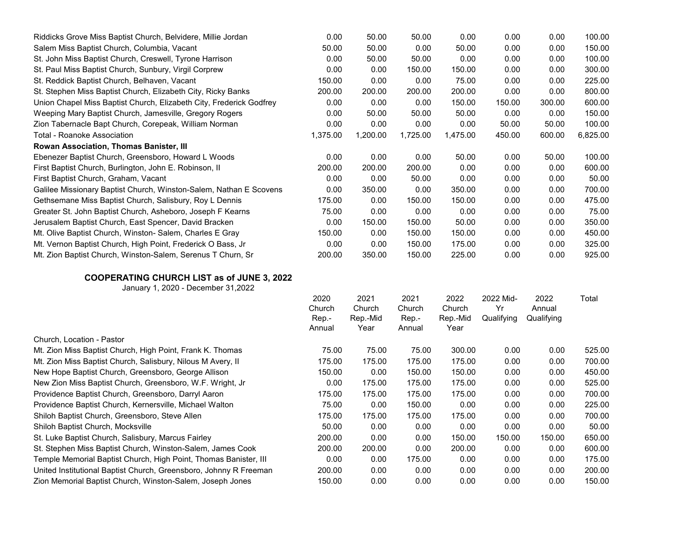| Riddicks Grove Miss Baptist Church, Belvidere, Millie Jordan        | 0.00     | 50.00    | 50.00    | 0.00     | 0.00   | 0.00   | 100.00   |
|---------------------------------------------------------------------|----------|----------|----------|----------|--------|--------|----------|
| Salem Miss Baptist Church, Columbia, Vacant                         | 50.00    | 50.00    | 0.00     | 50.00    | 0.00   | 0.00   | 150.00   |
| St. John Miss Baptist Church, Creswell, Tyrone Harrison             | 0.00     | 50.00    | 50.00    | 0.00     | 0.00   | 0.00   | 100.00   |
| St. Paul Miss Baptist Church, Sunbury, Virgil Corprew               | 0.00     | 0.00     | 150.00   | 150.00   | 0.00   | 0.00   | 300.00   |
| St. Reddick Baptist Church, Belhaven, Vacant                        | 150.00   | 0.00     | 0.00     | 75.00    | 0.00   | 0.00   | 225.00   |
| St. Stephen Miss Baptist Church, Elizabeth City, Ricky Banks        | 200.00   | 200.00   | 200.00   | 200.00   | 0.00   | 0.00   | 800.00   |
| Union Chapel Miss Baptist Church, Elizabeth City, Frederick Godfrey | 0.00     | 0.00     | 0.00     | 150.00   | 150.00 | 300.00 | 600.00   |
| Weeping Mary Baptist Church, Jamesville, Gregory Rogers             | 0.00     | 50.00    | 50.00    | 50.00    | 0.00   | 0.00   | 150.00   |
| Zion Tabernacle Bapt Church, Corepeak, William Norman               | 0.00     | 0.00     | 0.00     | 0.00     | 50.00  | 50.00  | 100.00   |
| Total - Roanoke Association                                         | 1,375.00 | 1,200.00 | 1,725.00 | 1,475.00 | 450.00 | 600.00 | 6,825.00 |
| Rowan Association, Thomas Banister, III                             |          |          |          |          |        |        |          |
| Ebenezer Baptist Church, Greensboro, Howard L Woods                 | 0.00     | 0.00     | 0.00     | 50.00    | 0.00   | 50.00  | 100.00   |
| First Baptist Church, Burlington, John E. Robinson, II              | 200.00   | 200.00   | 200.00   | 0.00     | 0.00   | 0.00   | 600.00   |
| First Baptist Church, Graham, Vacant                                | 0.00     | 0.00     | 50.00    | 0.00     | 0.00   | 0.00   | 50.00    |
| Galilee Missionary Baptist Church, Winston-Salem, Nathan E Scovens  | 0.00     | 350.00   | 0.00     | 350.00   | 0.00   | 0.00   | 700.00   |
| Gethsemane Miss Baptist Church, Salisbury, Roy L Dennis             | 175.00   | 0.00     | 150.00   | 150.00   | 0.00   | 0.00   | 475.00   |
| Greater St. John Baptist Church, Asheboro, Joseph F Kearns          | 75.00    | 0.00     | 0.00     | 0.00     | 0.00   | 0.00   | 75.00    |
| Jerusalem Baptist Church, East Spencer, David Bracken               | 0.00     | 150.00   | 150.00   | 50.00    | 0.00   | 0.00   | 350.00   |
| Mt. Olive Baptist Church, Winston-Salem, Charles E Gray             | 150.00   | 0.00     | 150.00   | 150.00   | 0.00   | 0.00   | 450.00   |
| Mt. Vernon Baptist Church, High Point, Frederick O Bass, Jr         | 0.00     | 0.00     | 150.00   | 175.00   | 0.00   | 0.00   | 325.00   |
| Mt. Zion Baptist Church, Winston-Salem, Serenus T Churn, Sr         | 200.00   | 350.00   | 150.00   | 225.00   | 0.00   | 0.00   | 925.00   |

|                                                                   | 2020<br>Church<br>Rep.-<br>Annual | 2021<br>Church | 2021<br>Church | 2022               | 2022 Mid-<br>Yr | 2022<br>Annual<br>Qualifying | Total  |
|-------------------------------------------------------------------|-----------------------------------|----------------|----------------|--------------------|-----------------|------------------------------|--------|
|                                                                   |                                   | Rep.-Mid       | Rep.-          | Church<br>Rep.-Mid | Qualifying      |                              |        |
|                                                                   |                                   | Year           | Annual         | Year               |                 |                              |        |
| Church, Location - Pastor                                         |                                   |                |                |                    |                 |                              |        |
| Mt. Zion Miss Baptist Church, High Point, Frank K. Thomas         | 75.00                             | 75.00          | 75.00          | 300.00             | 0.00            | 0.00                         | 525.00 |
| Mt. Zion Miss Baptist Church, Salisbury, Nilous M Avery, II       | 175.00                            | 175.00         | 175.00         | 175.00             | 0.00            | 0.00                         | 700.00 |
| New Hope Baptist Church, Greensboro, George Allison               | 150.00                            | 0.00           | 150.00         | 150.00             | 0.00            | 0.00                         | 450.00 |
| New Zion Miss Baptist Church, Greensboro, W.F. Wright, Jr.        | 0.00                              | 175.00         | 175.00         | 175.00             | 0.00            | 0.00                         | 525.00 |
| Providence Baptist Church, Greensboro, Darryl Aaron               | 175.00                            | 175.00         | 175.00         | 175.00             | 0.00            | 0.00                         | 700.00 |
| Providence Baptist Church, Kernersville, Michael Walton           | 75.00                             | 0.00           | 150.00         | 0.00               | 0.00            | 0.00                         | 225.00 |
| Shiloh Baptist Church, Greensboro, Steve Allen                    | 175.00                            | 175.00         | 175.00         | 175.00             | 0.00            | 0.00                         | 700.00 |
| Shiloh Baptist Church, Mocksville                                 | 50.00                             | 0.00           | 0.00           | 0.00               | 0.00            | 0.00                         | 50.00  |
| St. Luke Baptist Church, Salisbury, Marcus Fairley                | 200.00                            | 0.00           | 0.00           | 150.00             | 150.00          | 150.00                       | 650.00 |
| St. Stephen Miss Baptist Church, Winston-Salem, James Cook        | 200.00                            | 200.00         | 0.00           | 200.00             | 0.00            | 0.00                         | 600.00 |
| Temple Memorial Baptist Church, High Point, Thomas Banister, III  | 0.00                              | 0.00           | 175.00         | 0.00               | 0.00            | 0.00                         | 175.00 |
| United Institutional Baptist Church, Greensboro, Johnny R Freeman | 200.00                            | 0.00           | 0.00           | 0.00               | 0.00            | 0.00                         | 200.00 |
| Zion Memorial Baptist Church, Winston-Salem, Joseph Jones         | 150.00                            | 0.00           | 0.00           | 0.00               | 0.00            | 0.00                         | 150.00 |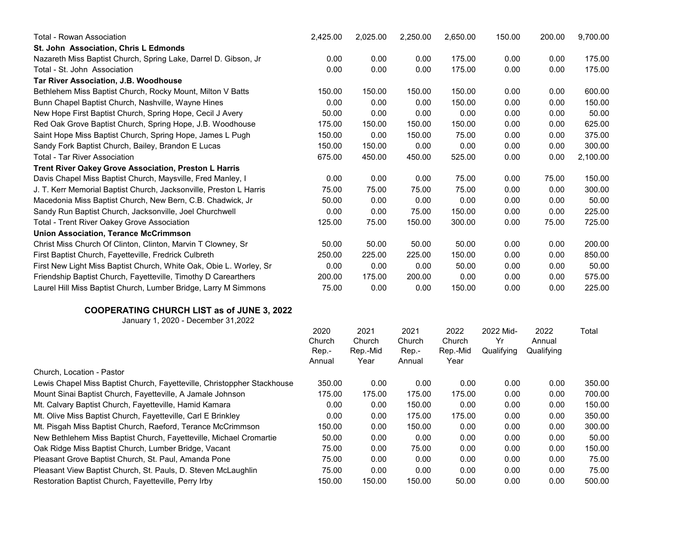| <b>Total - Rowan Association</b>                                                         | 2,425.00 | 2,025.00 | 2,250.00 | 2,650.00 | 150.00     | 200.00     | 9,700.00 |
|------------------------------------------------------------------------------------------|----------|----------|----------|----------|------------|------------|----------|
| St. John Association, Chris L Edmonds                                                    |          |          |          |          |            |            |          |
| Nazareth Miss Baptist Church, Spring Lake, Darrel D. Gibson, Jr                          | 0.00     | 0.00     | 0.00     | 175.00   | 0.00       | 0.00       | 175.00   |
| Total - St. John Association                                                             | 0.00     | 0.00     | 0.00     | 175.00   | 0.00       | 0.00       | 175.00   |
| Tar River Association, J.B. Woodhouse                                                    |          |          |          |          |            |            |          |
| Bethlehem Miss Baptist Church, Rocky Mount, Milton V Batts                               | 150.00   | 150.00   | 150.00   | 150.00   | 0.00       | 0.00       | 600.00   |
| Bunn Chapel Baptist Church, Nashville, Wayne Hines                                       | 0.00     | 0.00     | 0.00     | 150.00   | 0.00       | 0.00       | 150.00   |
| New Hope First Baptist Church, Spring Hope, Cecil J Avery                                | 50.00    | 0.00     | 0.00     | 0.00     | 0.00       | 0.00       | 50.00    |
| Red Oak Grove Baptist Church, Spring Hope, J.B. Woodhouse                                | 175.00   | 150.00   | 150.00   | 150.00   | 0.00       | 0.00       | 625.00   |
| Saint Hope Miss Baptist Church, Spring Hope, James L Pugh                                | 150.00   | 0.00     | 150.00   | 75.00    | 0.00       | 0.00       | 375.00   |
| Sandy Fork Baptist Church, Bailey, Brandon E Lucas                                       | 150.00   | 150.00   | 0.00     | 0.00     | 0.00       | 0.00       | 300.00   |
| <b>Total - Tar River Association</b>                                                     | 675.00   | 450.00   | 450.00   | 525.00   | 0.00       | 0.00       | 2,100.00 |
| Trent River Oakey Grove Association, Preston L Harris                                    |          |          |          |          |            |            |          |
| Davis Chapel Miss Baptist Church, Maysville, Fred Manley, I                              | 0.00     | 0.00     | 0.00     | 75.00    | 0.00       | 75.00      | 150.00   |
| J. T. Kerr Memorial Baptist Church, Jacksonville, Preston L Harris                       | 75.00    | 75.00    | 75.00    | 75.00    | 0.00       | 0.00       | 300.00   |
| Macedonia Miss Baptist Church, New Bern, C.B. Chadwick, Jr                               | 50.00    | 0.00     | 0.00     | 0.00     | 0.00       | 0.00       | 50.00    |
| Sandy Run Baptist Church, Jacksonville, Joel Churchwell                                  | 0.00     | 0.00     | 75.00    | 150.00   | 0.00       | 0.00       | 225.00   |
| Total - Trent River Oakey Grove Association                                              | 125.00   | 75.00    | 150.00   | 300.00   | 0.00       | 75.00      | 725.00   |
| <b>Union Association, Terance McCrimmson</b>                                             |          |          |          |          |            |            |          |
| Christ Miss Church Of Clinton, Clinton, Marvin T Clowney, Sr                             | 50.00    | 50.00    | 50.00    | 50.00    | 0.00       | 0.00       | 200.00   |
| First Baptist Church, Fayetteville, Fredrick Culbreth                                    | 250.00   | 225.00   | 225.00   | 150.00   | 0.00       | 0.00       | 850.00   |
| First New Light Miss Baptist Church, White Oak, Obie L. Worley, Sr                       | 0.00     | 0.00     | 0.00     | 50.00    | 0.00       | 0.00       | 50.00    |
| Friendship Baptist Church, Fayetteville, Timothy D Carearthers                           | 200.00   | 175.00   | 200.00   | 0.00     | 0.00       | 0.00       | 575.00   |
| Laurel Hill Miss Baptist Church, Lumber Bridge, Larry M Simmons                          | 75.00    | 0.00     | 0.00     | 150.00   | 0.00       | 0.00       | 225.00   |
| <b>COOPERATING CHURCH LIST as of JUNE 3, 2022</b><br>January 1, 2020 - December 31, 2022 |          |          |          |          |            |            |          |
|                                                                                          | 2020     | 2021     | 2021     | 2022     | 2022 Mid-  | 2022       | Total    |
|                                                                                          | Church   | Church   | Church   | Church   | Yr         | Annual     |          |
|                                                                                          | Rep.-    | Rep.-Mid | Rep.-    | Rep.-Mid | Qualifying | Qualifying |          |
|                                                                                          | Annual   | Year     | Annual   | Year     |            |            |          |
| Church, Location - Pastor                                                                |          |          |          |          |            |            |          |
| Lewis Chapel Miss Baptist Church, Fayetteville, Christoppher Stackhouse                  | 350.00   | 0.00     | 0.00     | 0.00     | 0.00       | 0.00       | 350.00   |
| Mount Sinai Baptist Church, Fayetteville, A Jamale Johnson                               | 175.00   | 175.00   | 175.00   | 175.00   | 0.00       | 0.00       | 700.00   |
| Mt. Calvary Baptist Church, Fayetteville, Hamid Kamara                                   | 0.00     | 0.00     | 150.00   | 0.00     | 0.00       | 0.00       | 150.00   |
| Mt. Olive Miss Baptist Church, Fayetteville, Carl E Brinkley                             | 0.00     | 0.00     | 175.00   | 175.00   | 0.00       | 0.00       | 350.00   |
| Mt. Pisgah Miss Baptist Church, Raeford, Terance McCrimmson                              | 150.00   | 0.00     | 150.00   | 0.00     | 0.00       | 0.00       | 300.00   |
| New Bethlehem Miss Baptist Church, Fayetteville, Michael Cromartie                       | 50.00    | 0.00     | 0.00     | 0.00     | 0.00       | 0.00       | 50.00    |
| Oak Ridge Miss Baptist Church, Lumber Bridge, Vacant                                     | 75.00    | 0.00     | 75.00    | 0.00     | 0.00       | 0.00       | 150.00   |
| Pleasant Grove Baptist Church, St. Paul, Amanda Pone                                     | 75.00    | 0.00     | 0.00     | 0.00     | 0.00       | 0.00       | 75.00    |
| Pleasant View Baptist Church, St. Pauls, D. Steven McLaughlin                            | 75.00    | 0.00     | 0.00     | 0.00     | 0.00       | 0.00       | 75.00    |
| Restoration Baptist Church, Fayetteville, Perry Irby                                     | 150.00   | 150.00   | 150.00   | 50.00    | 0.00       | 0.00       | 500.00   |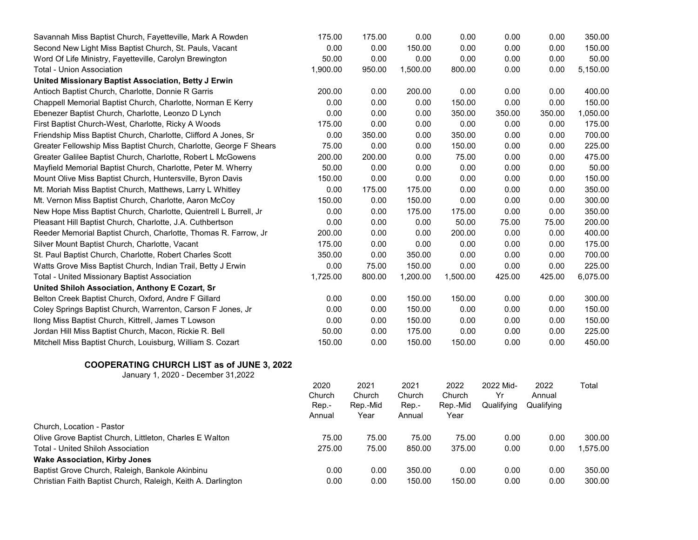| Savannah Miss Baptist Church, Fayetteville, Mark A Rowden          | 175.00          | 175.00           | 0.00            | 0.00             | 0.00       | 0.00       | 350.00   |
|--------------------------------------------------------------------|-----------------|------------------|-----------------|------------------|------------|------------|----------|
| Second New Light Miss Baptist Church, St. Pauls, Vacant            | 0.00            | 0.00             | 150.00          | 0.00             | 0.00       | 0.00       | 150.00   |
| Word Of Life Ministry, Fayetteville, Carolyn Brewington            | 50.00           | 0.00             | 0.00            | 0.00             | 0.00       | 0.00       | 50.00    |
| <b>Total - Union Association</b>                                   | 1,900.00        | 950.00           | 1,500.00        | 800.00           | 0.00       | 0.00       | 5,150.00 |
| United Missionary Baptist Association, Betty J Erwin               |                 |                  |                 |                  |            |            |          |
| Antioch Baptist Church, Charlotte, Donnie R Garris                 | 200.00          | 0.00             | 200.00          | 0.00             | 0.00       | 0.00       | 400.00   |
| Chappell Memorial Baptist Church, Charlotte, Norman E Kerry        | 0.00            | 0.00             | 0.00            | 150.00           | 0.00       | 0.00       | 150.00   |
| Ebenezer Baptist Church, Charlotte, Leonzo D Lynch                 | 0.00            | 0.00             | 0.00            | 350.00           | 350.00     | 350.00     | 1,050.00 |
| First Baptist Church-West, Charlotte, Ricky A Woods                | 175.00          | 0.00             | 0.00            | 0.00             | 0.00       | 0.00       | 175.00   |
| Friendship Miss Baptist Church, Charlotte, Clifford A Jones, Sr    | 0.00            | 350.00           | 0.00            | 350.00           | 0.00       | 0.00       | 700.00   |
| Greater Fellowship Miss Baptist Church, Charlotte, George F Shears | 75.00           | 0.00             | 0.00            | 150.00           | 0.00       | 0.00       | 225.00   |
| Greater Galilee Baptist Church, Charlotte, Robert L McGowens       | 200.00          | 200.00           | 0.00            | 75.00            | 0.00       | 0.00       | 475.00   |
| Mayfield Memorial Baptist Church, Charlotte, Peter M. Wherry       | 50.00           | 0.00             | 0.00            | 0.00             | 0.00       | 0.00       | 50.00    |
| Mount Olive Miss Baptist Church, Huntersville, Byron Davis         | 150.00          | 0.00             | 0.00            | 0.00             | 0.00       | 0.00       | 150.00   |
| Mt. Moriah Miss Baptist Church, Matthews, Larry L Whitley          | 0.00            | 175.00           | 175.00          | 0.00             | 0.00       | 0.00       | 350.00   |
| Mt. Vernon Miss Baptist Church, Charlotte, Aaron McCoy             | 150.00          | 0.00             | 150.00          | 0.00             | 0.00       | 0.00       | 300.00   |
| New Hope Miss Baptist Church, Charlotte, Quientrell L Burrell, Jr  | 0.00            | 0.00             | 175.00          | 175.00           | 0.00       | 0.00       | 350.00   |
| Pleasant Hill Baptist Church, Charlotte, J.A. Cuthbertson          | 0.00            | 0.00             | 0.00            | 50.00            | 75.00      | 75.00      | 200.00   |
| Reeder Memorial Baptist Church, Charlotte, Thomas R. Farrow, Jr    | 200.00          | 0.00             | 0.00            | 200.00           | 0.00       | 0.00       | 400.00   |
| Silver Mount Baptist Church, Charlotte, Vacant                     | 175.00          | 0.00             | 0.00            | 0.00             | 0.00       | 0.00       | 175.00   |
| St. Paul Baptist Church, Charlotte, Robert Charles Scott           | 350.00          | 0.00             | 350.00          | 0.00             | 0.00       | 0.00       | 700.00   |
| Watts Grove Miss Baptist Church, Indian Trail, Betty J Erwin       | 0.00            | 75.00            | 150.00          | 0.00             | 0.00       | 0.00       | 225.00   |
| <b>Total - United Missionary Baptist Association</b>               | 1,725.00        | 800.00           | 1,200.00        | 1,500.00         | 425.00     | 425.00     | 6,075.00 |
| United Shiloh Association, Anthony E Cozart, Sr                    |                 |                  |                 |                  |            |            |          |
| Belton Creek Baptist Church, Oxford, Andre F Gillard               | 0.00            | 0.00             | 150.00          | 150.00           | 0.00       | 0.00       | 300.00   |
| Coley Springs Baptist Church, Warrenton, Carson F Jones, Jr        | 0.00            | 0.00             | 150.00          | 0.00             | 0.00       | 0.00       | 150.00   |
| Ilong Miss Baptist Church, Kittrell, James T Lowson                | 0.00            | 0.00             | 150.00          | 0.00             | 0.00       | 0.00       | 150.00   |
| Jordan Hill Miss Baptist Church, Macon, Rickie R. Bell             | 50.00           | 0.00             | 175.00          | 0.00             | 0.00       | 0.00       | 225.00   |
| Mitchell Miss Baptist Church, Louisburg, William S. Cozart         | 150.00          | 0.00             | 150.00          | 150.00           | 0.00       | 0.00       | 450.00   |
| <b>COOPERATING CHURCH LIST as of JUNE 3, 2022</b>                  |                 |                  |                 |                  |            |            |          |
| January 1, 2020 - December 31, 2022                                |                 |                  |                 |                  |            |            |          |
|                                                                    | 2020            | 2021             | 2021            | 2022             | 2022 Mid-  | 2022       | Total    |
|                                                                    | Church          | Church           | Church          | Church           | Yr         | Annual     |          |
|                                                                    | Rep.-<br>Annual | Rep.-Mid<br>Year | Rep.-<br>Annual | Rep.-Mid<br>Year | Qualifying | Qualifying |          |
| Church, Location - Pastor                                          |                 |                  |                 |                  |            |            |          |
| Olive Grove Baptist Church, Littleton, Charles E Walton            | 75.00           | 75.00            | 75.00           | 75.00            | 0.00       | 0.00       | 300.00   |
| Total - United Shiloh Association                                  | 275.00          | 75.00            | 850.00          | 375.00           | 0.00       | 0.00       | 1,575.00 |

Baptist Grove Church, Raleigh, Bankole Akinbinu 0.00 0.00 350.00 0.00 0.00 0.00 350.00 Christian Faith Baptist Church, Raleigh, Keith A. Darlington 0.00 0.00 150.00 150.00 0.00 0.00 300.00

**Wake Association, Kirby Jones**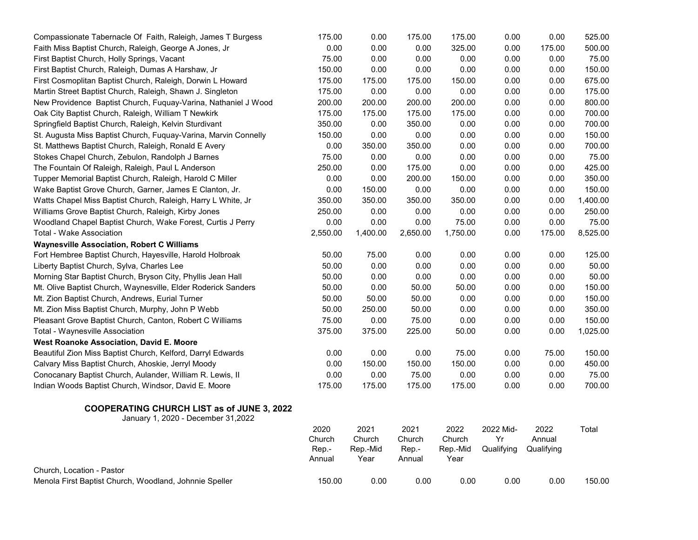| Menola First Baptist Church, Woodland, Johnnie Speller          | 150.00          | 0.00             | 0.00            | 0.00             | 0.00            | 0.00           | 150.00   |
|-----------------------------------------------------------------|-----------------|------------------|-----------------|------------------|-----------------|----------------|----------|
| Church, Location - Pastor                                       |                 |                  |                 |                  |                 |                |          |
|                                                                 | Rep.-<br>Annual | Rep.-Mid<br>Year | Rep.-<br>Annual | Rep.-Mid<br>Year | Qualifying      | Qualifying     |          |
|                                                                 | 2020<br>Church  | 2021<br>Church   | 2021<br>Church  | 2022<br>Church   | 2022 Mid-<br>Yr | 2022<br>Annual | Total    |
| January 1, 2020 - December 31, 2022                             |                 |                  |                 |                  |                 |                |          |
| <b>COOPERATING CHURCH LIST as of JUNE 3, 2022</b>               |                 |                  |                 |                  |                 |                |          |
| Indian Woods Baptist Church, Windsor, David E. Moore            | 175.00          | 175.00           | 175.00          | 175.00           | 0.00            | 0.00           | 700.00   |
| Conocanary Baptist Church, Aulander, William R. Lewis, II       | 0.00            | 0.00             | 75.00           | 0.00             | 0.00            | 0.00           | 75.00    |
| Calvary Miss Baptist Church, Ahoskie, Jerryl Moody              | 0.00            | 150.00           | 150.00          | 150.00           | 0.00            | 0.00           | 450.00   |
| Beautiful Zion Miss Baptist Church, Kelford, Darryl Edwards     | 0.00            | 0.00             | 0.00            | 75.00            | 0.00            | 75.00          | 150.00   |
| West Roanoke Association, David E. Moore                        |                 |                  |                 |                  |                 |                |          |
| Total - Waynesville Association                                 | 375.00          | 375.00           | 225.00          | 50.00            | 0.00            | 0.00           | 1,025.00 |
| Pleasant Grove Baptist Church, Canton, Robert C Williams        | 75.00           | 0.00             | 75.00           | 0.00             | 0.00            | 0.00           | 150.00   |
| Mt. Zion Miss Baptist Church, Murphy, John P Webb               | 50.00           | 250.00           | 50.00           | 0.00             | 0.00            | 0.00           | 350.00   |
| Mt. Zion Baptist Church, Andrews, Eurial Turner                 | 50.00           | 50.00            | 50.00           | 0.00             | 0.00            | 0.00           | 150.00   |
| Mt. Olive Baptist Church, Waynesville, Elder Roderick Sanders   | 50.00           | 0.00             | 50.00           | 50.00            | 0.00            | 0.00           | 150.00   |
| Morning Star Baptist Church, Bryson City, Phyllis Jean Hall     | 50.00           | 0.00             | 0.00            | 0.00             | 0.00            | 0.00           | 50.00    |
| Liberty Baptist Church, Sylva, Charles Lee                      | 50.00           | 0.00             | 0.00            | 0.00             | 0.00            | 0.00           | 50.00    |
| Fort Hembree Baptist Church, Hayesville, Harold Holbroak        | 50.00           | 75.00            | 0.00            | 0.00             | 0.00            | 0.00           | 125.00   |
| <b>Waynesville Association, Robert C Williams</b>               |                 |                  |                 |                  |                 |                |          |
| Total - Wake Association                                        | 2,550.00        | 1,400.00         | 2,650.00        | 1,750.00         | 0.00            | 175.00         | 8,525.00 |
| Woodland Chapel Baptist Church, Wake Forest, Curtis J Perry     | 0.00            | 0.00             | 0.00            | 75.00            | 0.00            | 0.00           | 75.00    |
| Williams Grove Baptist Church, Raleigh, Kirby Jones             | 250.00          | 0.00             | 0.00            | 0.00             | 0.00            | 0.00           | 250.00   |
| Watts Chapel Miss Baptist Church, Raleigh, Harry L White, Jr    | 350.00          | 350.00           | 350.00          | 350.00           | 0.00            | 0.00           | 1,400.00 |
| Wake Baptist Grove Church, Garner, James E Clanton, Jr.         | 0.00            | 150.00           | 0.00            | 0.00             | 0.00            | 0.00           | 150.00   |
| Tupper Memorial Baptist Church, Raleigh, Harold C Miller        | 0.00            | 0.00             | 200.00          | 150.00           | 0.00            | 0.00           | 350.00   |
| The Fountain Of Raleigh, Raleigh, Paul L Anderson               | 250.00          | 0.00             | 175.00          | 0.00             | 0.00            | 0.00           | 425.00   |
| Stokes Chapel Church, Zebulon, Randolph J Barnes                | 75.00           | 0.00             | 0.00            | 0.00             | 0.00            | 0.00           | 75.00    |
| St. Matthews Baptist Church, Raleigh, Ronald E Avery            | 0.00            | 350.00           | 350.00          | 0.00             | 0.00            | 0.00           | 700.00   |
| St. Augusta Miss Baptist Church, Fuquay-Varina, Marvin Connelly | 150.00          | 0.00             | 0.00            | 0.00             | 0.00            | 0.00           | 150.00   |
| Springfield Baptist Church, Raleigh, Kelvin Sturdivant          | 350.00          | 0.00             | 350.00          | 0.00             | 0.00            | 0.00           | 700.00   |
| Oak City Baptist Church, Raleigh, William T Newkirk             | 175.00          | 175.00           | 175.00          | 175.00           | 0.00            | 0.00           | 700.00   |
| New Providence Baptist Church, Fuquay-Varina, Nathaniel J Wood  | 200.00          | 200.00           | 200.00          | 200.00           | 0.00            | 0.00           | 800.00   |
| Martin Street Baptist Church, Raleigh, Shawn J. Singleton       | 175.00          | 0.00             | 0.00            | 0.00             | 0.00            | 0.00           | 175.00   |
| First Cosmoplitan Baptist Church, Raleigh, Dorwin L Howard      | 175.00          | 175.00           | 175.00          | 150.00           | 0.00            | 0.00           | 675.00   |
| First Baptist Church, Raleigh, Dumas A Harshaw, Jr              | 150.00          | 0.00             | 0.00            | 0.00             | 0.00            | 0.00           | 150.00   |
| First Baptist Church, Holly Springs, Vacant                     | 75.00           | 0.00             | 0.00            | 0.00             | 0.00            | 0.00           | 75.00    |
| Faith Miss Baptist Church, Raleigh, George A Jones, Jr          | 0.00            | 0.00             | 0.00            | 325.00           | 0.00            | 175.00         | 500.00   |
| Compassionate Tabernacle Of Faith, Raleigh, James T Burgess     | 175.00          | 0.00             | 175.00          | 175.00           | 0.00            | 0.00           | 525.00   |
|                                                                 |                 |                  |                 |                  |                 |                |          |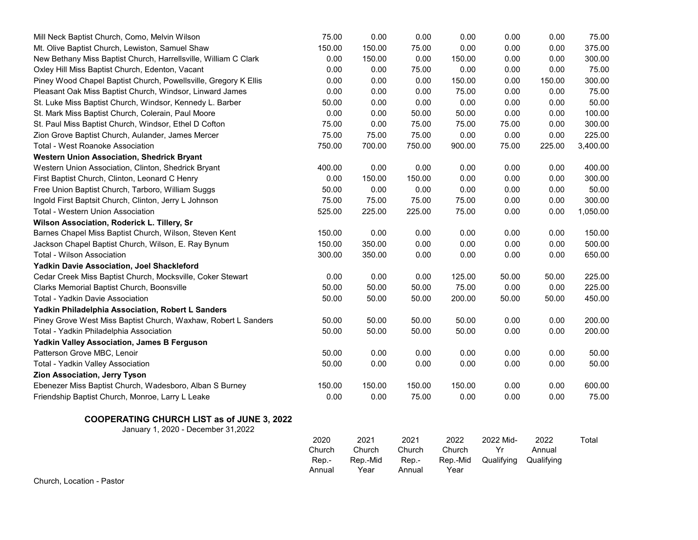| Mill Neck Baptist Church, Como, Melvin Wilson                                            | 75.00                             | 0.00                               | 0.00                              | 0.00                               | 0.00                          | 0.00                         | 75.00    |
|------------------------------------------------------------------------------------------|-----------------------------------|------------------------------------|-----------------------------------|------------------------------------|-------------------------------|------------------------------|----------|
| Mt. Olive Baptist Church, Lewiston, Samuel Shaw                                          | 150.00                            | 150.00                             | 75.00                             | 0.00                               | 0.00                          | 0.00                         | 375.00   |
| New Bethany Miss Baptist Church, Harrellsville, William C Clark                          | 0.00                              | 150.00                             | 0.00                              | 150.00                             | 0.00                          | 0.00                         | 300.00   |
| Oxley Hill Miss Baptist Church, Edenton, Vacant                                          | 0.00                              | 0.00                               | 75.00                             | 0.00                               | 0.00                          | 0.00                         | 75.00    |
| Piney Wood Chapel Baptist Church, Powellsville, Gregory K Ellis                          | 0.00                              | 0.00                               | 0.00                              | 150.00                             | 0.00                          | 150.00                       | 300.00   |
| Pleasant Oak Miss Baptist Church, Windsor, Linward James                                 | 0.00                              | 0.00                               | 0.00                              | 75.00                              | 0.00                          | 0.00                         | 75.00    |
| St. Luke Miss Baptist Church, Windsor, Kennedy L. Barber                                 | 50.00                             | 0.00                               | 0.00                              | 0.00                               | 0.00                          | 0.00                         | 50.00    |
| St. Mark Miss Baptist Church, Colerain, Paul Moore                                       | 0.00                              | 0.00                               | 50.00                             | 50.00                              | 0.00                          | 0.00                         | 100.00   |
| St. Paul Miss Baptist Church, Windsor, Ethel D Cofton                                    | 75.00                             | 0.00                               | 75.00                             | 75.00                              | 75.00                         | 0.00                         | 300.00   |
| Zion Grove Baptist Church, Aulander, James Mercer                                        | 75.00                             | 75.00                              | 75.00                             | 0.00                               | 0.00                          | 0.00                         | 225.00   |
| <b>Total - West Roanoke Association</b>                                                  | 750.00                            | 700.00                             | 750.00                            | 900.00                             | 75.00                         | 225.00                       | 3,400.00 |
| Western Union Association, Shedrick Bryant                                               |                                   |                                    |                                   |                                    |                               |                              |          |
| Western Union Association, Clinton, Shedrick Bryant                                      | 400.00                            | 0.00                               | 0.00                              | 0.00                               | 0.00                          | 0.00                         | 400.00   |
| First Baptist Church, Clinton, Leonard C Henry                                           | 0.00                              | 150.00                             | 150.00                            | 0.00                               | 0.00                          | 0.00                         | 300.00   |
| Free Union Baptist Church, Tarboro, William Suggs                                        | 50.00                             | 0.00                               | 0.00                              | 0.00                               | 0.00                          | 0.00                         | 50.00    |
| Ingold First Baptsit Church, Clinton, Jerry L Johnson                                    | 75.00                             | 75.00                              | 75.00                             | 75.00                              | 0.00                          | 0.00                         | 300.00   |
| Total - Western Union Association                                                        | 525.00                            | 225.00                             | 225.00                            | 75.00                              | 0.00                          | 0.00                         | 1,050.00 |
| Wilson Association, Roderick L. Tillery, Sr                                              |                                   |                                    |                                   |                                    |                               |                              |          |
| Barnes Chapel Miss Baptist Church, Wilson, Steven Kent                                   | 150.00                            | 0.00                               | 0.00                              | 0.00                               | 0.00                          | 0.00                         | 150.00   |
| Jackson Chapel Baptist Church, Wilson, E. Ray Bynum                                      | 150.00                            | 350.00                             | 0.00                              | 0.00                               | 0.00                          | 0.00                         | 500.00   |
| Total - Wilson Association                                                               | 300.00                            | 350.00                             | 0.00                              | 0.00                               | 0.00                          | 0.00                         | 650.00   |
| Yadkin Davie Association, Joel Shackleford                                               |                                   |                                    |                                   |                                    |                               |                              |          |
| Cedar Creek Miss Baptist Church, Mocksville, Coker Stewart                               | 0.00                              | 0.00                               | 0.00                              | 125.00                             | 50.00                         | 50.00                        | 225.00   |
| Clarks Memorial Baptist Church, Boonsville                                               | 50.00                             | 50.00                              | 50.00                             | 75.00                              | 0.00                          | 0.00                         | 225.00   |
| Total - Yadkin Davie Association                                                         | 50.00                             | 50.00                              | 50.00                             | 200.00                             | 50.00                         | 50.00                        | 450.00   |
| Yadkin Philadelphia Association, Robert L Sanders                                        |                                   |                                    |                                   |                                    |                               |                              |          |
| Piney Grove West Miss Baptist Church, Waxhaw, Robert L Sanders                           | 50.00                             | 50.00                              | 50.00                             | 50.00                              | 0.00                          | 0.00                         | 200.00   |
| Total - Yadkin Philadelphia Association                                                  | 50.00                             | 50.00                              | 50.00                             | 50.00                              | 0.00                          | 0.00                         | 200.00   |
| Yadkin Valley Association, James B Ferguson                                              |                                   |                                    |                                   |                                    |                               |                              |          |
| Patterson Grove MBC, Lenoir                                                              | 50.00                             | 0.00                               | 0.00                              | 0.00                               | 0.00                          | 0.00                         | 50.00    |
| Total - Yadkin Valley Association                                                        | 50.00                             | 0.00                               | 0.00                              | 0.00                               | 0.00                          | 0.00                         | 50.00    |
| Zion Association, Jerry Tyson                                                            |                                   |                                    |                                   |                                    |                               |                              |          |
| Ebenezer Miss Baptist Church, Wadesboro, Alban S Burney                                  | 150.00                            | 150.00                             | 150.00                            | 150.00                             | 0.00                          | 0.00                         | 600.00   |
| Friendship Baptist Church, Monroe, Larry L Leake                                         | 0.00                              | 0.00                               | 75.00                             | 0.00                               | 0.00                          | 0.00                         | 75.00    |
| <b>COOPERATING CHURCH LIST as of JUNE 3, 2022</b><br>January 1, 2020 - December 31, 2022 |                                   |                                    |                                   |                                    |                               |                              |          |
|                                                                                          | 2020<br>Church<br>Rep.-<br>Annual | 2021<br>Church<br>Rep.-Mid<br>Year | 2021<br>Church<br>Rep.-<br>Annual | 2022<br>Church<br>Rep.-Mid<br>Year | 2022 Mid-<br>Yr<br>Qualifying | 2022<br>Annual<br>Qualifying | Total    |

Church, Location - Pastor